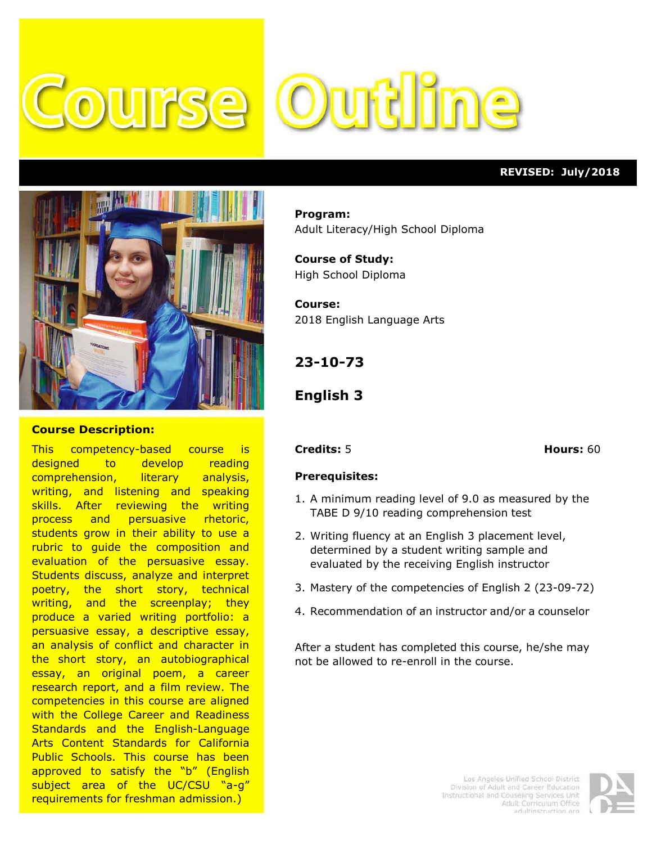

### **REVISED: July/2018**



### **Course Description:**

This competency-based course is designed to develop reading comprehension, literary analysis, writing, and listening and speaking skills. After reviewing the writing process and persuasive rhetoric, students grow in their ability to use a rubric to guide the composition and evaluation of the persuasive essay. Students discuss, analyze and interpret poetry, the short story, technical writing, and the screenplay; they produce a varied writing portfolio: a persuasive essay, a descriptive essay, an analysis of conflict and character in the short story, an autobiographical essay, an original poem, a career research report, and a film review. The competencies in this course are aligned with the College Career and Readiness Standards and the English-Language Arts Content Standards for California Public Schools. This course has been approved to satisfy the "b" (English subject area of the UC/CSU "a-g" requirements for freshman admission.)

**Program:** Adult Literacy/High School Diploma

**Course of Study:** High School Diploma

**Course:** 2018 English Language Arts

**23-10-73**

**English 3**

### **Credits:** 5 **Hours:** 60

### **Prerequisites:**

- 1. A minimum reading level of 9.0 as measured by the TABE D 9/10 reading comprehension test
- 2. Writing fluency at an English 3 placement level, determined by a student writing sample and evaluated by the receiving English instructor
- 3. Mastery of the competencies of English 2 (23-09-72)
- 4. Recommendation of an instructor and/or a counselor

After a student has completed this course, he/she may not be allowed to re-enroll in the course.

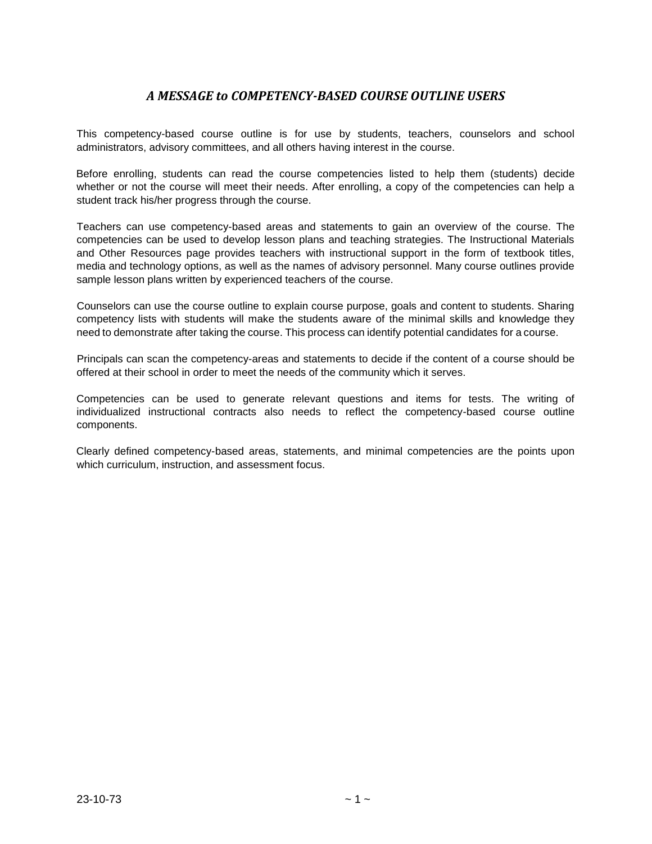## *A MESSAGE to COMPETENCY-BASED COURSE OUTLINE USERS*

This competency-based course outline is for use by students, teachers, counselors and school administrators, advisory committees, and all others having interest in the course.

Before enrolling, students can read the course competencies listed to help them (students) decide whether or not the course will meet their needs. After enrolling, a copy of the competencies can help a student track his/her progress through the course.

Teachers can use competency-based areas and statements to gain an overview of the course. The competencies can be used to develop lesson plans and teaching strategies. The Instructional Materials and Other Resources page provides teachers with instructional support in the form of textbook titles, media and technology options, as well as the names of advisory personnel. Many course outlines provide sample lesson plans written by experienced teachers of the course.

Counselors can use the course outline to explain course purpose, goals and content to students. Sharing competency lists with students will make the students aware of the minimal skills and knowledge they need to demonstrate after taking the course. This process can identify potential candidates for a course.

Principals can scan the competency-areas and statements to decide if the content of a course should be offered at their school in order to meet the needs of the community which it serves.

Competencies can be used to generate relevant questions and items for tests. The writing of individualized instructional contracts also needs to reflect the competency-based course outline components.

Clearly defined competency-based areas, statements, and minimal competencies are the points upon which curriculum, instruction, and assessment focus.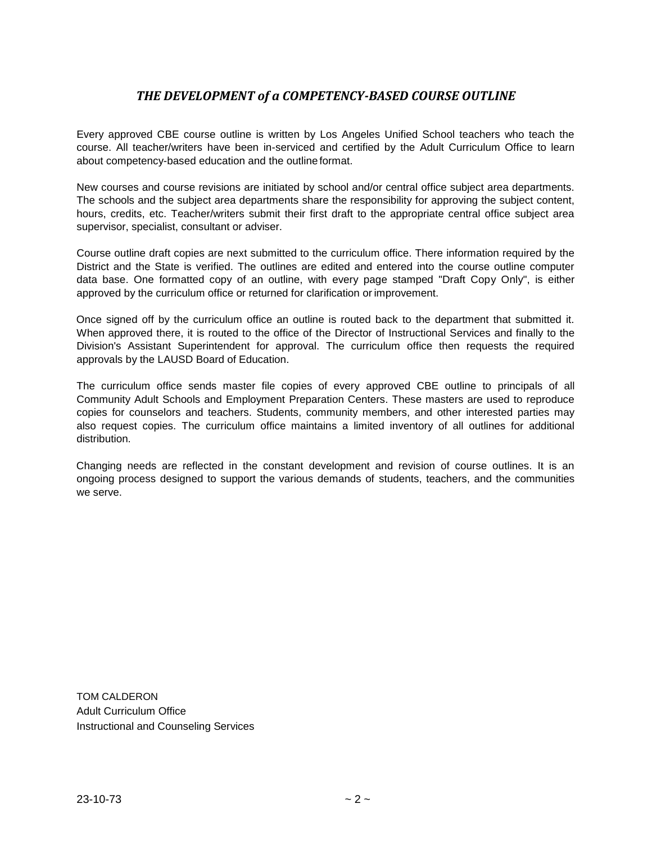## *THE DEVELOPMENT of a COMPETENCY-BASED COURSE OUTLINE*

Every approved CBE course outline is written by Los Angeles Unified School teachers who teach the course. All teacher/writers have been in-serviced and certified by the Adult Curriculum Office to learn about competency-based education and the outline format.

New courses and course revisions are initiated by school and/or central office subject area departments. The schools and the subject area departments share the responsibility for approving the subject content, hours, credits, etc. Teacher/writers submit their first draft to the appropriate central office subject area supervisor, specialist, consultant or adviser.

Course outline draft copies are next submitted to the curriculum office. There information required by the District and the State is verified. The outlines are edited and entered into the course outline computer data base. One formatted copy of an outline, with every page stamped "Draft Copy Only", is either approved by the curriculum office or returned for clarification or improvement.

Once signed off by the curriculum office an outline is routed back to the department that submitted it. When approved there, it is routed to the office of the Director of Instructional Services and finally to the Division's Assistant Superintendent for approval. The curriculum office then requests the required approvals by the LAUSD Board of Education.

The curriculum office sends master file copies of every approved CBE outline to principals of all Community Adult Schools and Employment Preparation Centers. These masters are used to reproduce copies for counselors and teachers. Students, community members, and other interested parties may also request copies. The curriculum office maintains a limited inventory of all outlines for additional distribution.

Changing needs are reflected in the constant development and revision of course outlines. It is an ongoing process designed to support the various demands of students, teachers, and the communities we serve.

TOM CALDERON Adult Curriculum Office Instructional and Counseling Services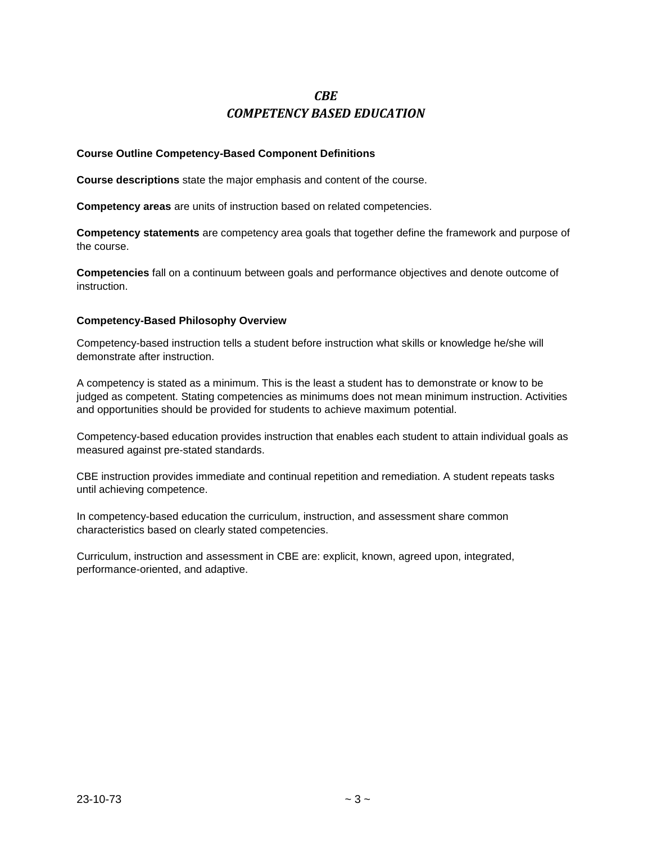# *CBE COMPETENCY BASED EDUCATION*

#### **Course Outline Competency-Based Component Definitions**

**Course descriptions** state the major emphasis and content of the course.

**Competency areas** are units of instruction based on related competencies.

**Competency statements** are competency area goals that together define the framework and purpose of the course.

**Competencies** fall on a continuum between goals and performance objectives and denote outcome of instruction.

#### **Competency-Based Philosophy Overview**

Competency-based instruction tells a student before instruction what skills or knowledge he/she will demonstrate after instruction.

A competency is stated as a minimum. This is the least a student has to demonstrate or know to be judged as competent. Stating competencies as minimums does not mean minimum instruction. Activities and opportunities should be provided for students to achieve maximum potential.

Competency-based education provides instruction that enables each student to attain individual goals as measured against pre-stated standards.

CBE instruction provides immediate and continual repetition and remediation. A student repeats tasks until achieving competence.

In competency-based education the curriculum, instruction, and assessment share common characteristics based on clearly stated competencies.

Curriculum, instruction and assessment in CBE are: explicit, known, agreed upon, integrated, performance-oriented, and adaptive.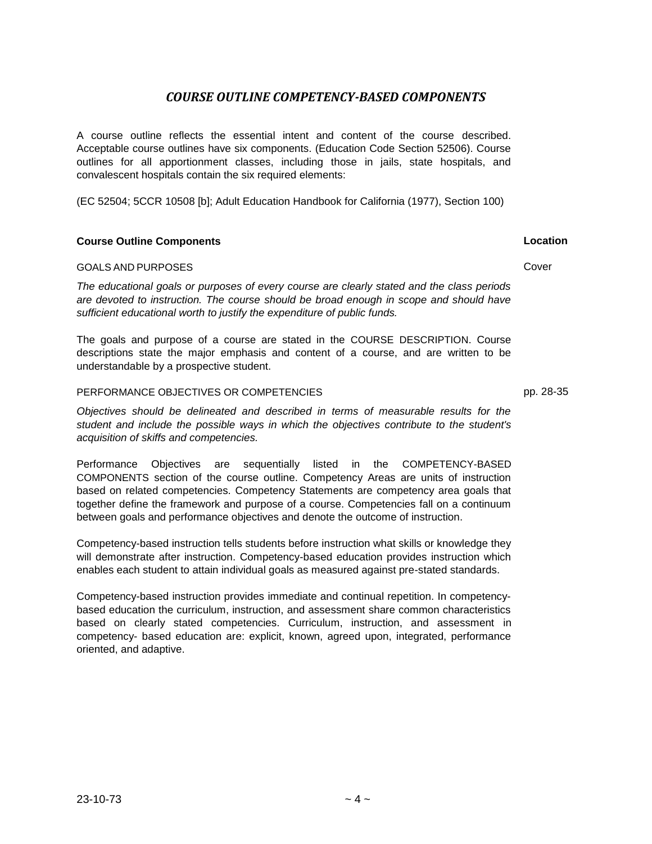### *COURSE OUTLINE COMPETENCY-BASED COMPONENTS*

A course outline reflects the essential intent and content of the course described. Acceptable course outlines have six components. (Education Code Section 52506). Course outlines for all apportionment classes, including those in jails, state hospitals, and convalescent hospitals contain the six required elements:

(EC 52504; 5CCR 10508 [b]; Adult Education Handbook for California (1977), Section 100)

#### **Course Outline Components**

#### GOALS AND PURPOSES

*The educational goals or purposes of every course are clearly stated and the class periods are devoted to instruction. The course should be broad enough in scope and should have sufficient educational worth to justify the expenditure of public funds.*

The goals and purpose of a course are stated in the COURSE DESCRIPTION. Course descriptions state the major emphasis and content of a course, and are written to be understandable by a prospective student.

#### PERFORMANCE OBJECTIVES OR COMPETENCIES

*Objectives should be delineated and described in terms of measurable results for the student and include the possible ways in which the objectives contribute to the student's acquisition of skiffs and competencies.*

Performance Objectives are sequentially listed in the COMPETENCY-BASED COMPONENTS section of the course outline. Competency Areas are units of instruction based on related competencies. Competency Statements are competency area goals that together define the framework and purpose of a course. Competencies fall on a continuum between goals and performance objectives and denote the outcome of instruction.

Competency-based instruction tells students before instruction what skills or knowledge they will demonstrate after instruction. Competency-based education provides instruction which enables each student to attain individual goals as measured against pre-stated standards.

Competency-based instruction provides immediate and continual repetition. In competencybased education the curriculum, instruction, and assessment share common characteristics based on clearly stated competencies. Curriculum, instruction, and assessment in competency- based education are: explicit, known, agreed upon, integrated, performance oriented, and adaptive.

**Location**

Cover

pp. 28-35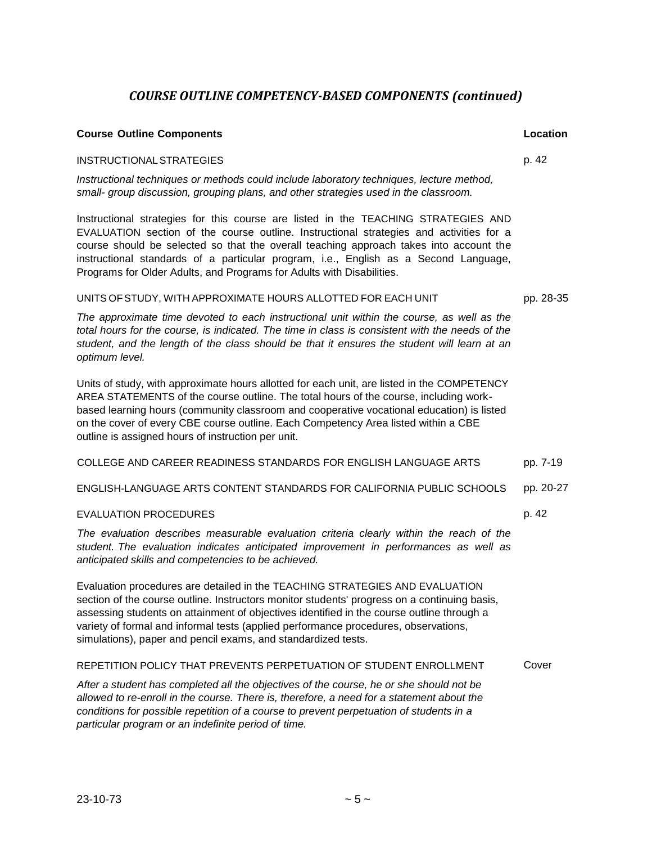### *COURSE OUTLINE COMPETENCY-BASED COMPONENTS (continued)*

#### **Course Outline Components**

#### INSTRUCTIONALSTRATEGIES

*Instructional techniques or methods could include laboratory techniques, lecture method, small- group discussion, grouping plans, and other strategies used in the classroom.*

Instructional strategies for this course are listed in the TEACHING STRATEGIES AND EVALUATION section of the course outline. Instructional strategies and activities for a course should be selected so that the overall teaching approach takes into account the instructional standards of a particular program, i.e., English as a Second Language, Programs for Older Adults, and Programs for Adults with Disabilities.

#### UNITS OFSTUDY, WITH APPROXIMATE HOURS ALLOTTED FOR EACH UNIT

*The approximate time devoted to each instructional unit within the course, as well as the total hours for the course, is indicated. The time in class is consistent with the needs of the student, and the length of the class should be that it ensures the student will learn at an optimum level.*

Units of study, with approximate hours allotted for each unit, are listed in the COMPETENCY AREA STATEMENTS of the course outline. The total hours of the course, including workbased learning hours (community classroom and cooperative vocational education) is listed on the cover of every CBE course outline. Each Competency Area listed within a CBE outline is assigned hours of instruction per unit.

#### COLLEGE AND CAREER READINESS STANDARDS FOR ENGLISH LANGUAGE ARTS pp. 7-19

ENGLISH-LANGUAGE ARTS CONTENT STANDARDS FOR CALIFORNIA PUBLIC SCHOOLS pp. 20-27

#### EVALUATION PROCEDURES

*The evaluation describes measurable evaluation criteria clearly within the reach of the student. The evaluation indicates anticipated improvement in performances as well as anticipated skills and competencies to be achieved.*

Evaluation procedures are detailed in the TEACHING STRATEGIES AND EVALUATION section of the course outline. Instructors monitor students' progress on a continuing basis, assessing students on attainment of objectives identified in the course outline through a variety of formal and informal tests (applied performance procedures, observations, simulations), paper and pencil exams, and standardized tests.

#### REPETITION POLICY THAT PREVENTS PERPETUATION OF STUDENT ENROLLMENT Cover

*After a student has completed all the objectives of the course, he or she should not be allowed to re-enroll in the course. There is, therefore, a need for a statement about the conditions for possible repetition of a course to prevent perpetuation of students in a particular program or an indefinite period of time.*

**Location**

pp. 28-35

p. 42

p. 42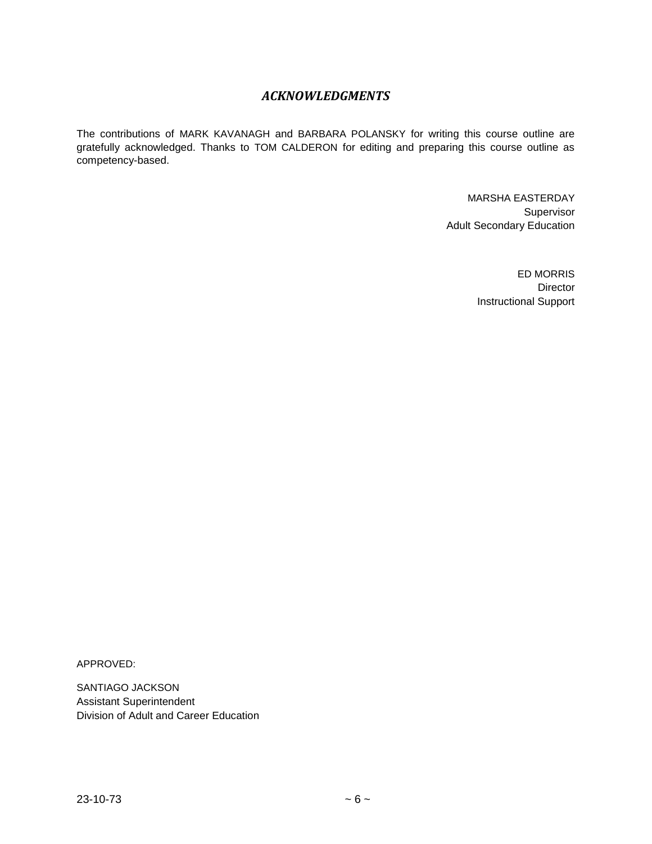### *ACKNOWLEDGMENTS*

The contributions of MARK KAVANAGH and BARBARA POLANSKY for writing this course outline are gratefully acknowledged. Thanks to TOM CALDERON for editing and preparing this course outline as competency-based.

> MARSHA EASTERDAY Supervisor Adult Secondary Education

> > ED MORRIS Director Instructional Support

APPROVED:

SANTIAGO JACKSON Assistant Superintendent Division of Adult and Career Education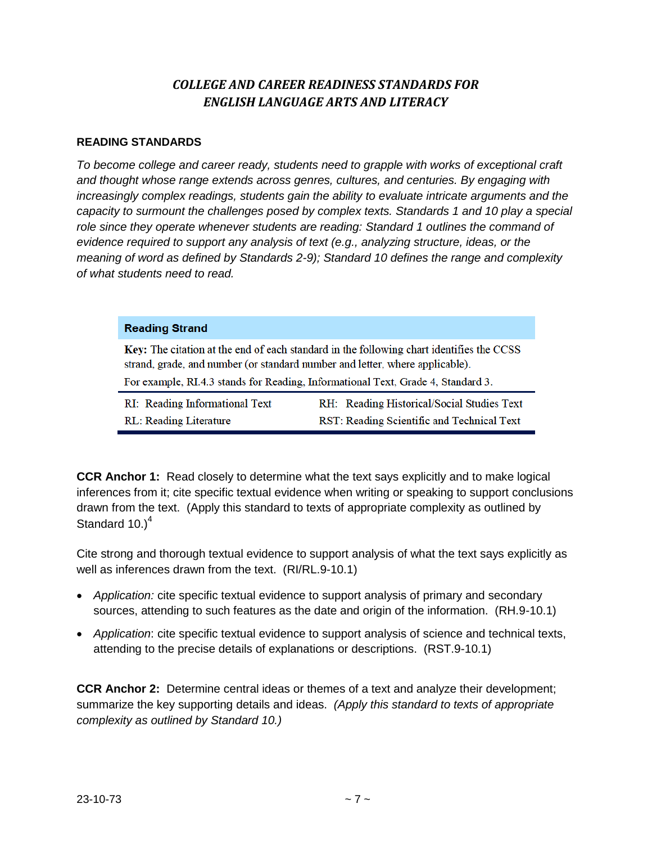### **READING STANDARDS**

*To become college and career ready, students need to grapple with works of exceptional craft and thought whose range extends across genres, cultures, and centuries. By engaging with increasingly complex readings, students gain the ability to evaluate intricate arguments and the capacity to surmount the challenges posed by complex texts. Standards 1 and 10 play a special role since they operate whenever students are reading: Standard 1 outlines the command of evidence required to support any analysis of text (e.g., analyzing structure, ideas, or the meaning of word as defined by Standards 2-9); Standard 10 defines the range and complexity of what students need to read.* 

### **Reading Strand**

Key: The citation at the end of each standard in the following chart identifies the CCSS strand, grade, and number (or standard number and letter, where applicable).

For example, RI.4.3 stands for Reading, Informational Text, Grade 4, Standard 3.

| RI: Reading Informational Text | RH: Reading Historical/Social Studies Text |
|--------------------------------|--------------------------------------------|
| <b>RL:</b> Reading Literature  | RST: Reading Scientific and Technical Text |

**CCR Anchor 1:** Read closely to determine what the text says explicitly and to make logical inferences from it; cite specific textual evidence when writing or speaking to support conclusions drawn from the text. (Apply this standard to texts of appropriate complexity as outlined by Standard  $10.1<sup>4</sup>$ 

Cite strong and thorough textual evidence to support analysis of what the text says explicitly as well as inferences drawn from the text. (RI/RL.9-10.1)

- *Application:* cite specific textual evidence to support analysis of primary and secondary sources, attending to such features as the date and origin of the information. (RH.9-10.1)
- *Application*: cite specific textual evidence to support analysis of science and technical texts, attending to the precise details of explanations or descriptions. (RST.9-10.1)

**CCR Anchor 2:** Determine central ideas or themes of a text and analyze their development; summarize the key supporting details and ideas. *(Apply this standard to texts of appropriate complexity as outlined by Standard 10.)*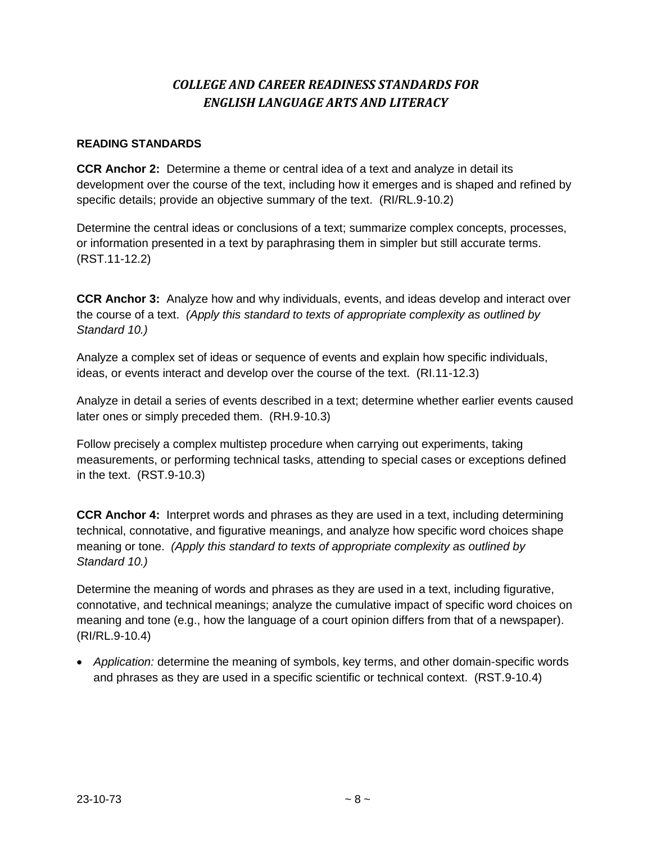### **READING STANDARDS**

**CCR Anchor 2:** Determine a theme or central idea of a text and analyze in detail its development over the course of the text, including how it emerges and is shaped and refined by specific details; provide an objective summary of the text. (RI/RL.9-10.2)

Determine the central ideas or conclusions of a text; summarize complex concepts, processes, or information presented in a text by paraphrasing them in simpler but still accurate terms. (RST.11-12.2)

**CCR Anchor 3:** Analyze how and why individuals, events, and ideas develop and interact over the course of a text. *(Apply this standard to texts of appropriate complexity as outlined by Standard 10.)*

Analyze a complex set of ideas or sequence of events and explain how specific individuals, ideas, or events interact and develop over the course of the text. (RI.11-12.3)

Analyze in detail a series of events described in a text; determine whether earlier events caused later ones or simply preceded them. (RH.9-10.3)

Follow precisely a complex multistep procedure when carrying out experiments, taking measurements, or performing technical tasks, attending to special cases or exceptions defined in the text. (RST.9-10.3)

**CCR Anchor 4:** Interpret words and phrases as they are used in a text, including determining technical, connotative, and figurative meanings, and analyze how specific word choices shape meaning or tone. *(Apply this standard to texts of appropriate complexity as outlined by Standard 10.)*

Determine the meaning of words and phrases as they are used in a text, including figurative, connotative, and technical meanings; analyze the cumulative impact of specific word choices on meaning and tone (e.g., how the language of a court opinion differs from that of a newspaper). (RI/RL.9-10.4)

 *Application:* determine the meaning of symbols, key terms, and other domain-specific words and phrases as they are used in a specific scientific or technical context. (RST.9-10.4)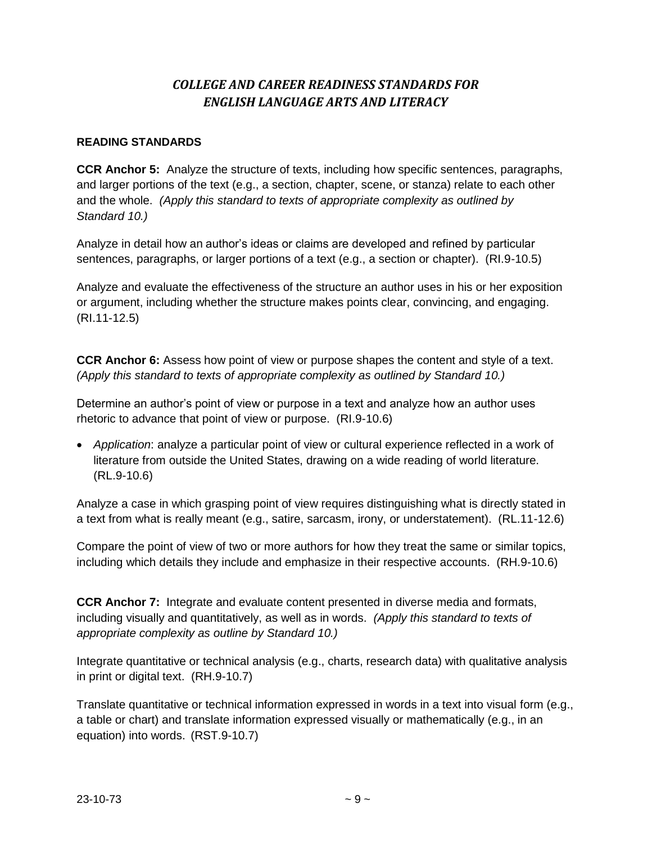### **READING STANDARDS**

**CCR Anchor 5:** Analyze the structure of texts, including how specific sentences, paragraphs, and larger portions of the text (e.g., a section, chapter, scene, or stanza) relate to each other and the whole. *(Apply this standard to texts of appropriate complexity as outlined by Standard 10.)*

Analyze in detail how an author's ideas or claims are developed and refined by particular sentences, paragraphs, or larger portions of a text (e.g., a section or chapter). (RI.9-10.5)

Analyze and evaluate the effectiveness of the structure an author uses in his or her exposition or argument, including whether the structure makes points clear, convincing, and engaging. (RI.11-12.5)

**CCR Anchor 6:** Assess how point of view or purpose shapes the content and style of a text. *(Apply this standard to texts of appropriate complexity as outlined by Standard 10.)*

Determine an author's point of view or purpose in a text and analyze how an author uses rhetoric to advance that point of view or purpose. (RI.9-10.6)

 *Application*: analyze a particular point of view or cultural experience reflected in a work of literature from outside the United States, drawing on a wide reading of world literature. (RL.9-10.6)

Analyze a case in which grasping point of view requires distinguishing what is directly stated in a text from what is really meant (e.g., satire, sarcasm, irony, or understatement). (RL.11-12.6)

Compare the point of view of two or more authors for how they treat the same or similar topics, including which details they include and emphasize in their respective accounts. (RH.9-10.6)

**CCR Anchor 7:** Integrate and evaluate content presented in diverse media and formats, including visually and quantitatively, as well as in words. *(Apply this standard to texts of appropriate complexity as outline by Standard 10.)*

Integrate quantitative or technical analysis (e.g., charts, research data) with qualitative analysis in print or digital text. (RH.9-10.7)

Translate quantitative or technical information expressed in words in a text into visual form (e.g., a table or chart) and translate information expressed visually or mathematically (e.g., in an equation) into words. (RST.9-10.7)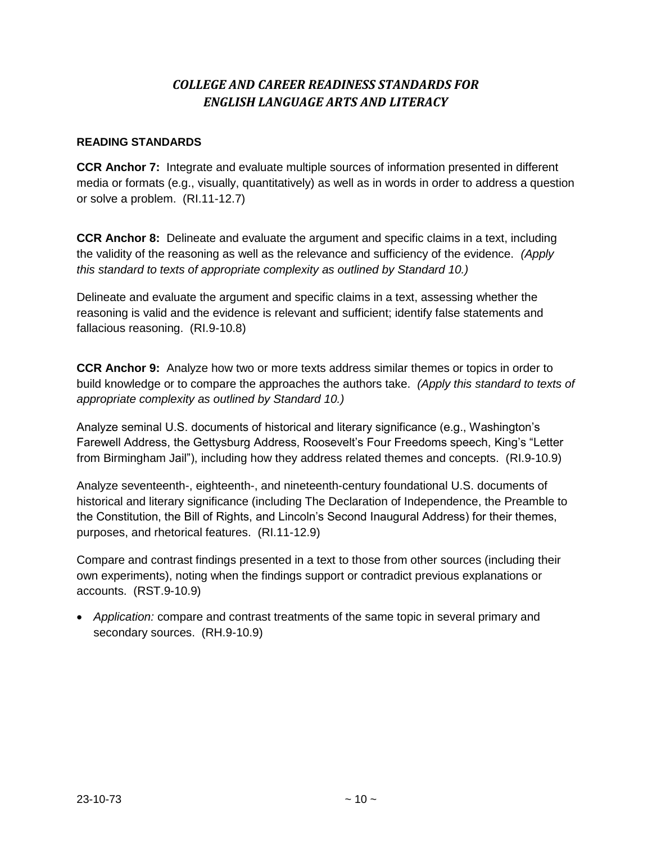### **READING STANDARDS**

**CCR Anchor 7:** Integrate and evaluate multiple sources of information presented in different media or formats (e.g., visually, quantitatively) as well as in words in order to address a question or solve a problem. (RI.11-12.7)

**CCR Anchor 8:** Delineate and evaluate the argument and specific claims in a text, including the validity of the reasoning as well as the relevance and sufficiency of the evidence. *(Apply this standard to texts of appropriate complexity as outlined by Standard 10.)*

Delineate and evaluate the argument and specific claims in a text, assessing whether the reasoning is valid and the evidence is relevant and sufficient; identify false statements and fallacious reasoning. (RI.9-10.8)

**CCR Anchor 9:** Analyze how two or more texts address similar themes or topics in order to build knowledge or to compare the approaches the authors take. *(Apply this standard to texts of appropriate complexity as outlined by Standard 10.)*

Analyze seminal U.S. documents of historical and literary significance (e.g., Washington's Farewell Address, the Gettysburg Address, Roosevelt's Four Freedoms speech, King's "Letter from Birmingham Jail"), including how they address related themes and concepts. (RI.9-10.9)

Analyze seventeenth-, eighteenth-, and nineteenth-century foundational U.S. documents of historical and literary significance (including The Declaration of Independence, the Preamble to the Constitution, the Bill of Rights, and Lincoln's Second Inaugural Address) for their themes, purposes, and rhetorical features. (RI.11-12.9)

Compare and contrast findings presented in a text to those from other sources (including their own experiments), noting when the findings support or contradict previous explanations or accounts. (RST.9-10.9)

 *Application:* compare and contrast treatments of the same topic in several primary and secondary sources. (RH.9-10.9)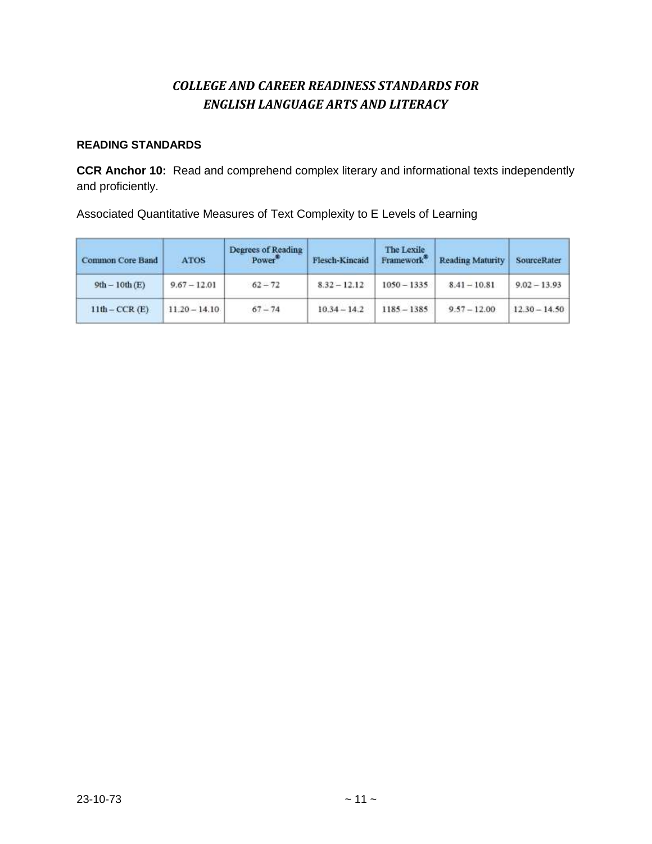### **READING STANDARDS**

**CCR Anchor 10:** Read and comprehend complex literary and informational texts independently and proficiently.

Associated Quantitative Measures of Text Complexity to E Levels of Learning

| <b>Common Core Band</b> | <b>ATOS</b>     | Degrees of Reading<br>Power | Flesch-Kincaid | The Lexile<br>Framework <sup>*</sup> | <b>Reading Maturity</b> | SourceRater     |
|-------------------------|-----------------|-----------------------------|----------------|--------------------------------------|-------------------------|-----------------|
| $9th - 10th(E)$         | $9.67 - 12.01$  | $62 - 72$                   | $8.32 - 12.12$ | $1050 - 1335$                        | $8.41 - 10.81$          | $9.02 - 13.93$  |
| $11th$ – CCR $(E)$      | $11.20 - 14.10$ | $67 - 74$                   | $10.34 - 14.2$ | $1185 - 1385$                        | $9.57 - 12.00$          | $12.30 - 14.50$ |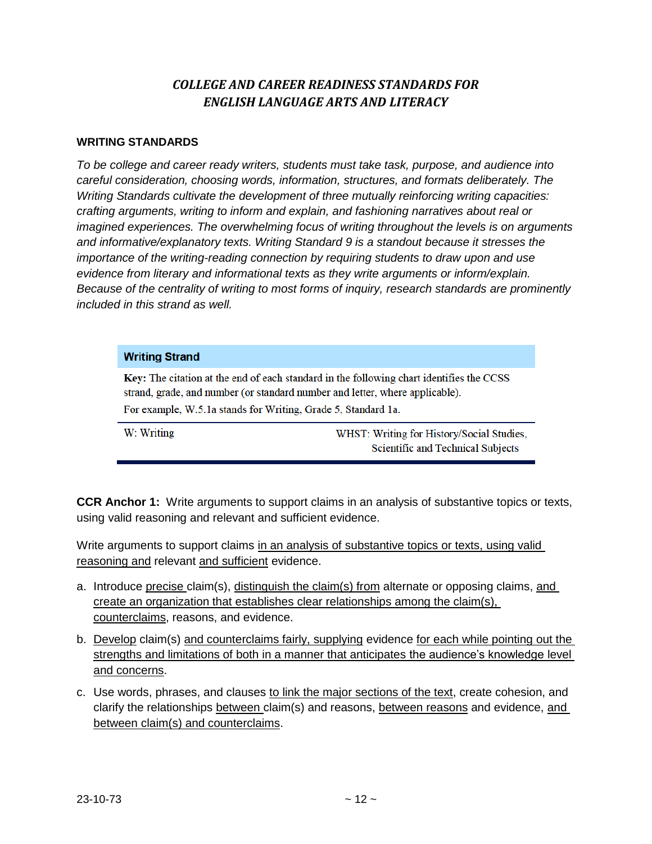### **WRITING STANDARDS**

*To be college and career ready writers, students must take task, purpose, and audience into careful consideration, choosing words, information, structures, and formats deliberately. The Writing Standards cultivate the development of three mutually reinforcing writing capacities: crafting arguments, writing to inform and explain, and fashioning narratives about real or imagined experiences. The overwhelming focus of writing throughout the levels is on arguments and informative/explanatory texts. Writing Standard 9 is a standout because it stresses the importance of the writing-reading connection by requiring students to draw upon and use evidence from literary and informational texts as they write arguments or inform/explain. Because of the centrality of writing to most forms of inquiry, research standards are prominently included in this strand as well.*

#### **Writing Strand**

Key: The citation at the end of each standard in the following chart identifies the CCSS strand, grade, and number (or standard number and letter, where applicable).

For example, W.5.1a stands for Writing, Grade 5, Standard 1a.

W: Writing

WHST: Writing for History/Social Studies, Scientific and Technical Subjects

**CCR Anchor 1:** Write arguments to support claims in an analysis of substantive topics or texts, using valid reasoning and relevant and sufficient evidence.

Write arguments to support claims in an analysis of substantive topics or texts, using valid reasoning and relevant and sufficient evidence.

- a. Introduce precise claim(s), distinguish the claim(s) from alternate or opposing claims, and create an organization that establishes clear relationships among the claim(s), counterclaims, reasons, and evidence.
- b. Develop claim(s) and counterclaims fairly, supplying evidence for each while pointing out the strengths and limitations of both in a manner that anticipates the audience's knowledge level and concerns.
- c. Use words, phrases, and clauses to link the major sections of the text, create cohesion, and clarify the relationships between claim(s) and reasons, between reasons and evidence, and between claim(s) and counterclaims.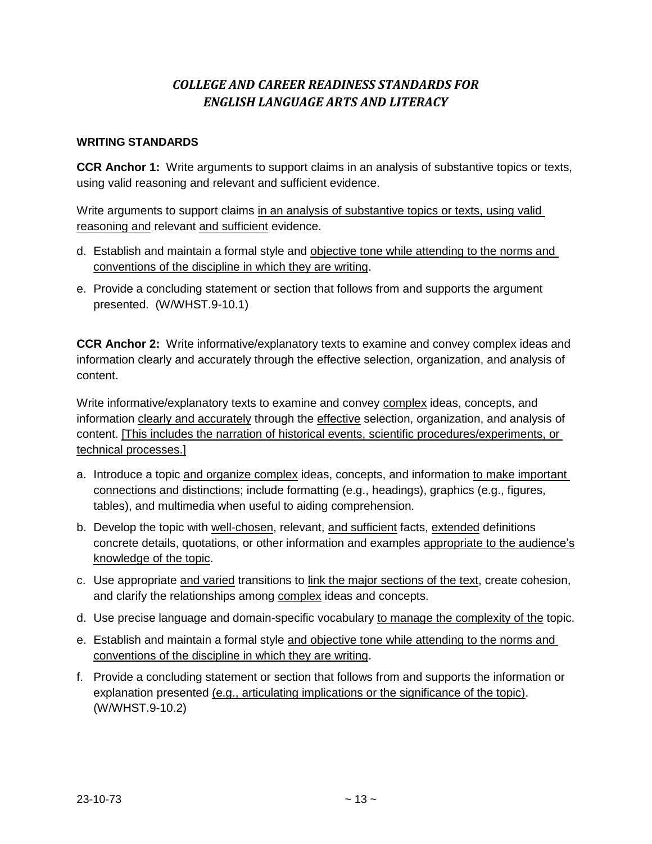### **WRITING STANDARDS**

**CCR Anchor 1:** Write arguments to support claims in an analysis of substantive topics or texts, using valid reasoning and relevant and sufficient evidence.

Write arguments to support claims in an analysis of substantive topics or texts, using valid reasoning and relevant and sufficient evidence.

- d. Establish and maintain a formal style and objective tone while attending to the norms and conventions of the discipline in which they are writing.
- e. Provide a concluding statement or section that follows from and supports the argument presented. (W/WHST.9-10.1)

**CCR Anchor 2:** Write informative/explanatory texts to examine and convey complex ideas and information clearly and accurately through the effective selection, organization, and analysis of content.

Write informative/explanatory texts to examine and convey complex ideas, concepts, and information clearly and accurately through the effective selection, organization, and analysis of content. [This includes the narration of historical events, scientific procedures/experiments, or technical processes.]

- a. Introduce a topic and organize complex ideas, concepts, and information to make important connections and distinctions; include formatting (e.g., headings), graphics (e.g., figures, tables), and multimedia when useful to aiding comprehension.
- b. Develop the topic with well-chosen, relevant, and sufficient facts, extended definitions concrete details, quotations, or other information and examples appropriate to the audience's knowledge of the topic.
- c. Use appropriate and varied transitions to link the major sections of the text, create cohesion, and clarify the relationships among complex ideas and concepts.
- d. Use precise language and domain-specific vocabulary to manage the complexity of the topic.
- e. Establish and maintain a formal style and objective tone while attending to the norms and conventions of the discipline in which they are writing.
- f. Provide a concluding statement or section that follows from and supports the information or explanation presented (e.g., articulating implications or the significance of the topic). (W/WHST.9-10.2)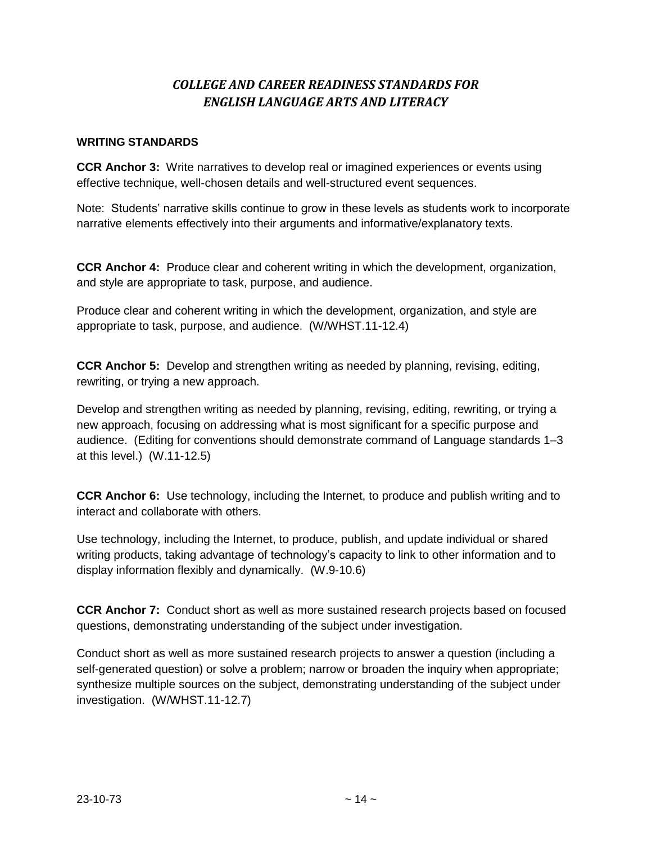### **WRITING STANDARDS**

**CCR Anchor 3:** Write narratives to develop real or imagined experiences or events using effective technique, well-chosen details and well-structured event sequences.

Note: Students' narrative skills continue to grow in these levels as students work to incorporate narrative elements effectively into their arguments and informative/explanatory texts.

**CCR Anchor 4:** Produce clear and coherent writing in which the development, organization, and style are appropriate to task, purpose, and audience.

Produce clear and coherent writing in which the development, organization, and style are appropriate to task, purpose, and audience. (W/WHST.11-12.4)

**CCR Anchor 5:** Develop and strengthen writing as needed by planning, revising, editing, rewriting, or trying a new approach.

Develop and strengthen writing as needed by planning, revising, editing, rewriting, or trying a new approach, focusing on addressing what is most significant for a specific purpose and audience. (Editing for conventions should demonstrate command of Language standards 1–3 at this level.) (W.11-12.5)

**CCR Anchor 6:** Use technology, including the Internet, to produce and publish writing and to interact and collaborate with others.

Use technology, including the Internet, to produce, publish, and update individual or shared writing products, taking advantage of technology's capacity to link to other information and to display information flexibly and dynamically. (W.9-10.6)

**CCR Anchor 7:** Conduct short as well as more sustained research projects based on focused questions, demonstrating understanding of the subject under investigation.

Conduct short as well as more sustained research projects to answer a question (including a self-generated question) or solve a problem; narrow or broaden the inquiry when appropriate; synthesize multiple sources on the subject, demonstrating understanding of the subject under investigation. (W/WHST.11-12.7)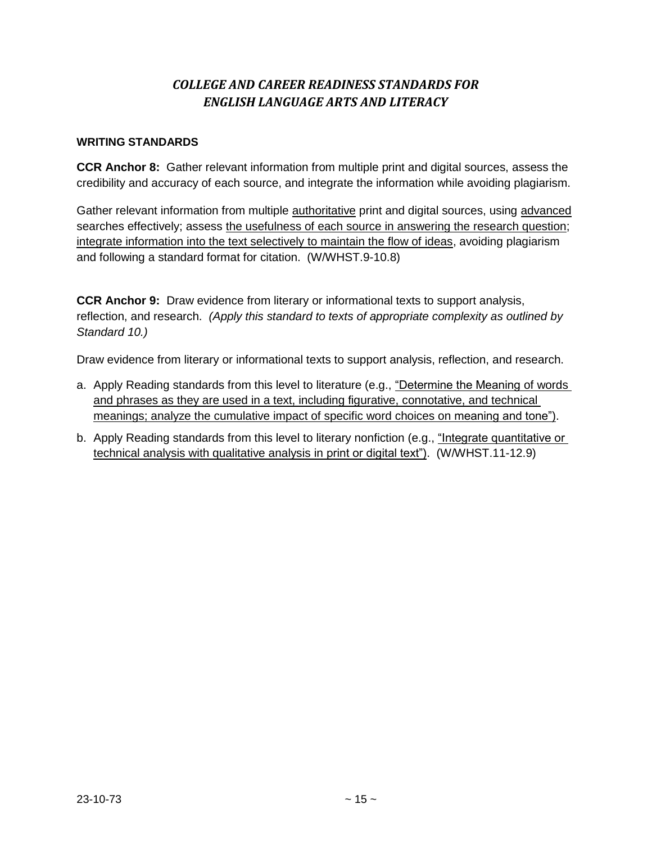### **WRITING STANDARDS**

**CCR Anchor 8:** Gather relevant information from multiple print and digital sources, assess the credibility and accuracy of each source, and integrate the information while avoiding plagiarism.

Gather relevant information from multiple authoritative print and digital sources, using advanced searches effectively; assess the usefulness of each source in answering the research question; integrate information into the text selectively to maintain the flow of ideas, avoiding plagiarism and following a standard format for citation. (W/WHST.9-10.8)

**CCR Anchor 9:** Draw evidence from literary or informational texts to support analysis, reflection, and research. *(Apply this standard to texts of appropriate complexity as outlined by Standard 10.)* 

Draw evidence from literary or informational texts to support analysis, reflection, and research.

- a. Apply Reading standards from this level to literature (e.g., "Determine the Meaning of words and phrases as they are used in a text, including figurative, connotative, and technical meanings; analyze the cumulative impact of specific word choices on meaning and tone").
- b. Apply Reading standards from this level to literary nonfiction (e.g., "Integrate quantitative or technical analysis with qualitative analysis in print or digital text"). (W/WHST.11-12.9)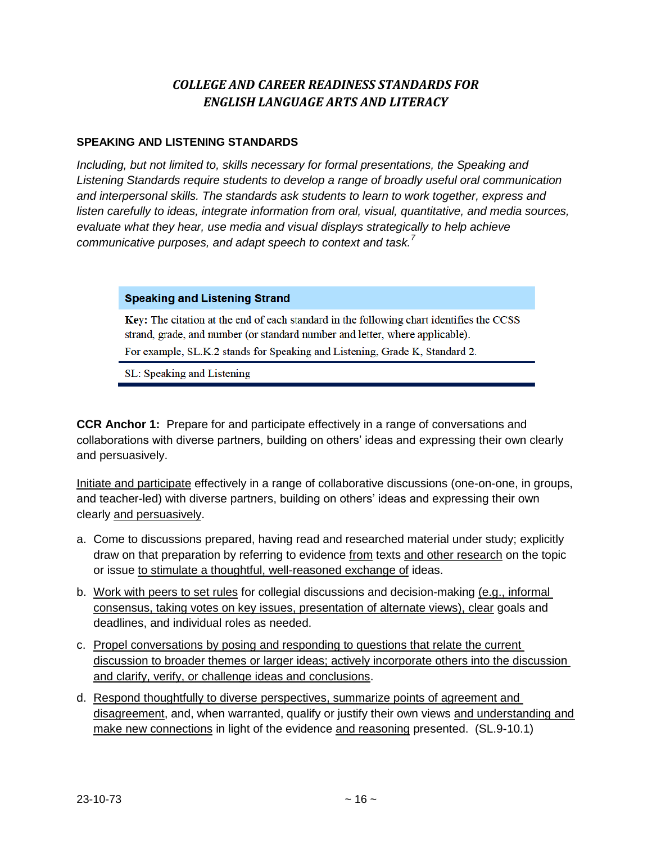### **SPEAKING AND LISTENING STANDARDS**

*Including, but not limited to, skills necessary for formal presentations, the Speaking and Listening Standards require students to develop a range of broadly useful oral communication and interpersonal skills. The standards ask students to learn to work together, express and listen carefully to ideas, integrate information from oral, visual, quantitative, and media sources, evaluate what they hear, use media and visual displays strategically to help achieve communicative purposes, and adapt speech to context and task.<sup>7</sup>*

### **Speaking and Listening Strand**

Key: The citation at the end of each standard in the following chart identifies the CCSS strand, grade, and number (or standard number and letter, where applicable).

For example, SL.K.2 stands for Speaking and Listening, Grade K, Standard 2.

SL: Speaking and Listening

**CCR Anchor 1:** Prepare for and participate effectively in a range of conversations and collaborations with diverse partners, building on others' ideas and expressing their own clearly and persuasively.

Initiate and participate effectively in a range of collaborative discussions (one-on-one, in groups, and teacher-led) with diverse partners, building on others' ideas and expressing their own clearly and persuasively.

- a. Come to discussions prepared, having read and researched material under study; explicitly draw on that preparation by referring to evidence from texts and other research on the topic or issue to stimulate a thoughtful, well-reasoned exchange of ideas.
- b. Work with peers to set rules for collegial discussions and decision-making (e.g., informal consensus, taking votes on key issues, presentation of alternate views), clear goals and deadlines, and individual roles as needed.
- c. Propel conversations by posing and responding to questions that relate the current discussion to broader themes or larger ideas; actively incorporate others into the discussion and clarify, verify, or challenge ideas and conclusions.
- d. Respond thoughtfully to diverse perspectives, summarize points of agreement and disagreement, and, when warranted, qualify or justify their own views and understanding and make new connections in light of the evidence and reasoning presented. (SL.9-10.1)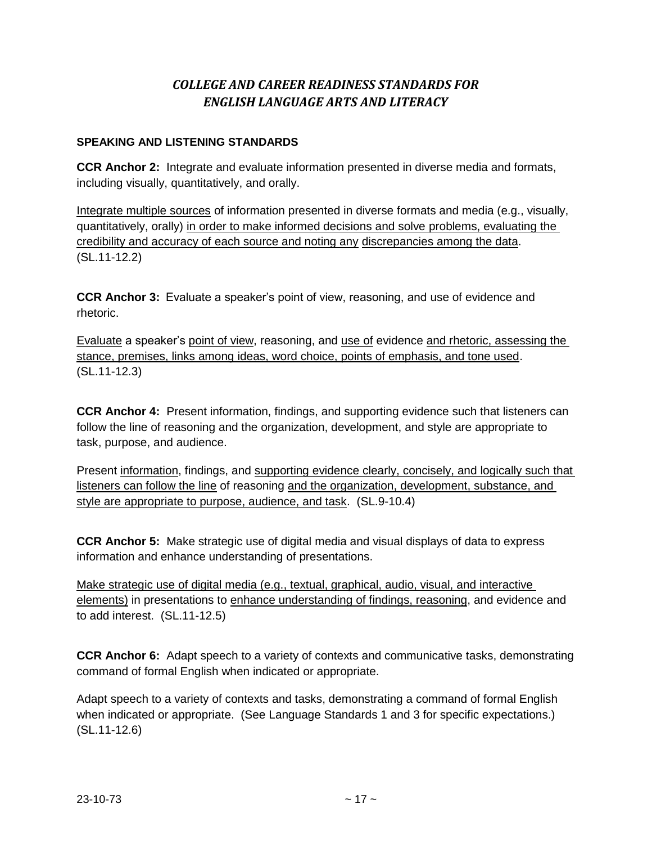### **SPEAKING AND LISTENING STANDARDS**

**CCR Anchor 2:** Integrate and evaluate information presented in diverse media and formats, including visually, quantitatively, and orally.

Integrate multiple sources of information presented in diverse formats and media (e.g., visually, quantitatively, orally) in order to make informed decisions and solve problems, evaluating the credibility and accuracy of each source and noting any discrepancies among the data. (SL.11-12.2)

**CCR Anchor 3:** Evaluate a speaker's point of view, reasoning, and use of evidence and rhetoric.

Evaluate a speaker's point of view, reasoning, and use of evidence and rhetoric, assessing the stance, premises, links among ideas, word choice, points of emphasis, and tone used. (SL.11-12.3)

**CCR Anchor 4:** Present information, findings, and supporting evidence such that listeners can follow the line of reasoning and the organization, development, and style are appropriate to task, purpose, and audience.

Present information, findings, and supporting evidence clearly, concisely, and logically such that listeners can follow the line of reasoning and the organization, development, substance, and style are appropriate to purpose, audience, and task. (SL.9-10.4)

**CCR Anchor 5:** Make strategic use of digital media and visual displays of data to express information and enhance understanding of presentations.

Make strategic use of digital media (e.g., textual, graphical, audio, visual, and interactive elements) in presentations to enhance understanding of findings, reasoning, and evidence and to add interest. (SL.11-12.5)

**CCR Anchor 6:** Adapt speech to a variety of contexts and communicative tasks, demonstrating command of formal English when indicated or appropriate.

Adapt speech to a variety of contexts and tasks, demonstrating a command of formal English when indicated or appropriate. (See Language Standards 1 and 3 for specific expectations.) (SL.11-12.6)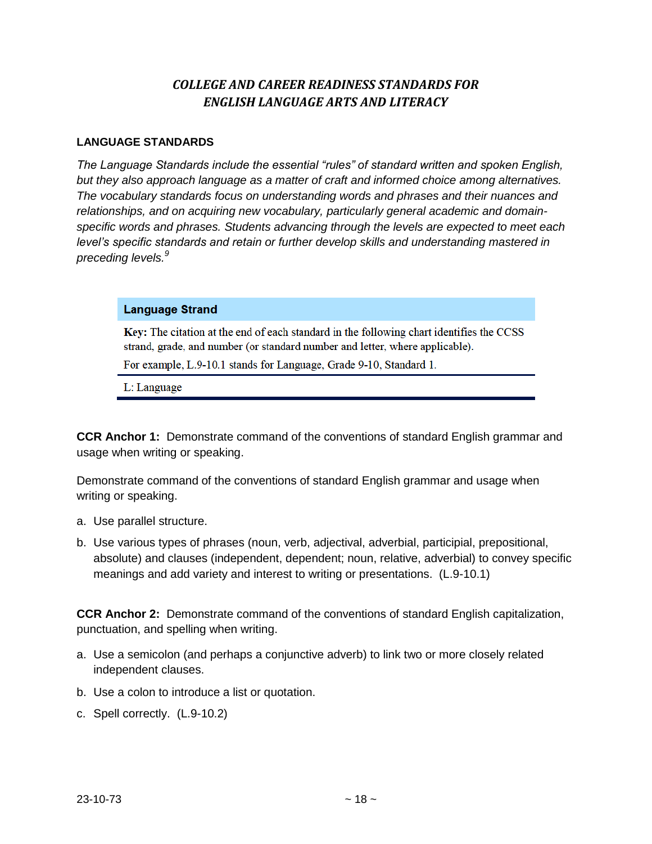### **LANGUAGE STANDARDS**

*The Language Standards include the essential "rules" of standard written and spoken English, but they also approach language as a matter of craft and informed choice among alternatives. The vocabulary standards focus on understanding words and phrases and their nuances and relationships, and on acquiring new vocabulary, particularly general academic and domainspecific words and phrases. Students advancing through the levels are expected to meet each level's specific standards and retain or further develop skills and understanding mastered in preceding levels.<sup>9</sup>*

### **Language Strand**

Key: The citation at the end of each standard in the following chart identifies the CCSS strand, grade, and number (or standard number and letter, where applicable).

For example, L.9-10.1 stands for Language, Grade 9-10, Standard 1.

L: Language

**CCR Anchor 1:** Demonstrate command of the conventions of standard English grammar and usage when writing or speaking.

Demonstrate command of the conventions of standard English grammar and usage when writing or speaking.

- a. Use parallel structure.
- b. Use various types of phrases (noun, verb, adjectival, adverbial, participial, prepositional, absolute) and clauses (independent, dependent; noun, relative, adverbial) to convey specific meanings and add variety and interest to writing or presentations. (L.9-10.1)

**CCR Anchor 2:** Demonstrate command of the conventions of standard English capitalization, punctuation, and spelling when writing.

- a. Use a semicolon (and perhaps a conjunctive adverb) to link two or more closely related independent clauses.
- b. Use a colon to introduce a list or quotation.
- c. Spell correctly. (L.9-10.2)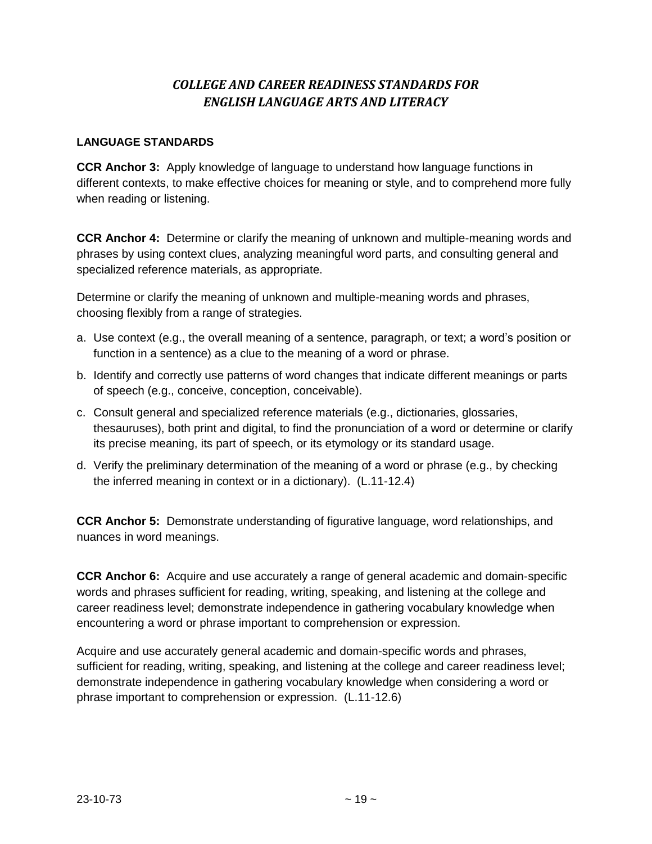### **LANGUAGE STANDARDS**

**CCR Anchor 3:** Apply knowledge of language to understand how language functions in different contexts, to make effective choices for meaning or style, and to comprehend more fully when reading or listening.

**CCR Anchor 4:** Determine or clarify the meaning of unknown and multiple-meaning words and phrases by using context clues, analyzing meaningful word parts, and consulting general and specialized reference materials, as appropriate.

Determine or clarify the meaning of unknown and multiple-meaning words and phrases, choosing flexibly from a range of strategies.

- a. Use context (e.g., the overall meaning of a sentence, paragraph, or text; a word's position or function in a sentence) as a clue to the meaning of a word or phrase.
- b. Identify and correctly use patterns of word changes that indicate different meanings or parts of speech (e.g., conceive, conception, conceivable).
- c. Consult general and specialized reference materials (e.g., dictionaries, glossaries, thesauruses), both print and digital, to find the pronunciation of a word or determine or clarify its precise meaning, its part of speech, or its etymology or its standard usage.
- d. Verify the preliminary determination of the meaning of a word or phrase (e.g., by checking the inferred meaning in context or in a dictionary). (L.11-12.4)

**CCR Anchor 5:** Demonstrate understanding of figurative language, word relationships, and nuances in word meanings.

**CCR Anchor 6:** Acquire and use accurately a range of general academic and domain-specific words and phrases sufficient for reading, writing, speaking, and listening at the college and career readiness level; demonstrate independence in gathering vocabulary knowledge when encountering a word or phrase important to comprehension or expression.

Acquire and use accurately general academic and domain-specific words and phrases, sufficient for reading, writing, speaking, and listening at the college and career readiness level; demonstrate independence in gathering vocabulary knowledge when considering a word or phrase important to comprehension or expression. (L.11-12.6)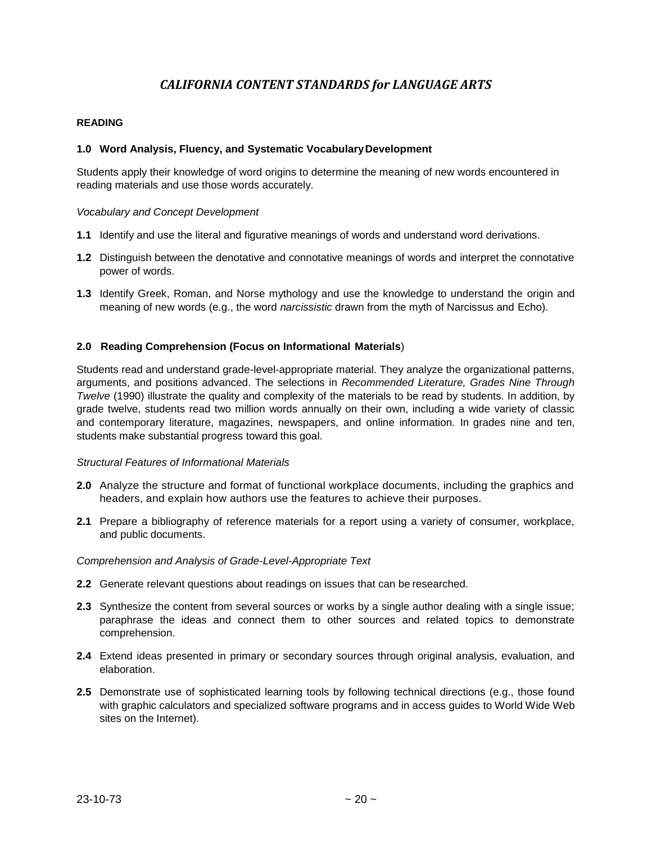## *CALIFORNIA CONTENT STANDARDS for LANGUAGE ARTS*

#### **READING**

#### **1.0 Word Analysis, Fluency, and Systematic VocabularyDevelopment**

Students apply their knowledge of word origins to determine the meaning of new words encountered in reading materials and use those words accurately.

#### *Vocabulary and Concept Development*

- **1.1** Identify and use the literal and figurative meanings of words and understand word derivations.
- **1.2** Distinguish between the denotative and connotative meanings of words and interpret the connotative power of words.
- **1.3** Identify Greek, Roman, and Norse mythology and use the knowledge to understand the origin and meaning of new words (e.g., the word *narcissistic* drawn from the myth of Narcissus and Echo).

#### **2.0 Reading Comprehension (Focus on Informational Materials**)

Students read and understand grade-level-appropriate material. They analyze the organizational patterns, arguments, and positions advanced. The selections in *Recommended Literature, Grades Nine Through Twelve* (1990) illustrate the quality and complexity of the materials to be read by students. In addition, by grade twelve, students read two million words annually on their own, including a wide variety of classic and contemporary literature, magazines, newspapers, and online information. In grades nine and ten, students make substantial progress toward this goal.

#### *Structural Features of Informational Materials*

- **2.0** Analyze the structure and format of functional workplace documents, including the graphics and headers, and explain how authors use the features to achieve their purposes.
- **2.1** Prepare a bibliography of reference materials for a report using a variety of consumer, workplace, and public documents.

#### *Comprehension and Analysis of Grade-Level-Appropriate Text*

- **2.2** Generate relevant questions about readings on issues that can be researched.
- **2.3** Synthesize the content from several sources or works by a single author dealing with a single issue; paraphrase the ideas and connect them to other sources and related topics to demonstrate comprehension.
- **2.4** Extend ideas presented in primary or secondary sources through original analysis, evaluation, and elaboration.
- **2.5** Demonstrate use of sophisticated learning tools by following technical directions (e.g., those found with graphic calculators and specialized software programs and in access guides to World Wide Web sites on the Internet).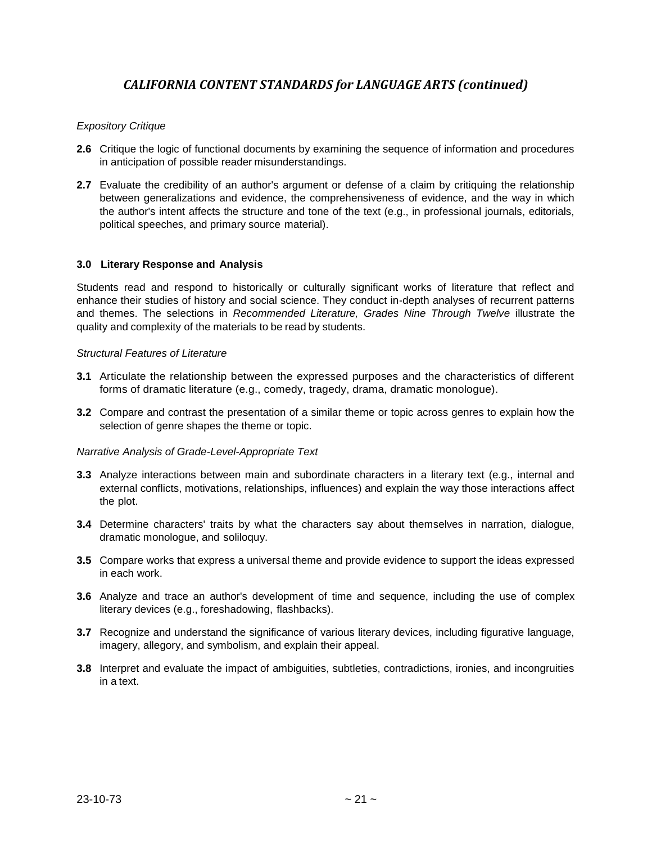### *Expository Critique*

- **2.6** Critique the logic of functional documents by examining the sequence of information and procedures in anticipation of possible reader misunderstandings.
- **2.7** Evaluate the credibility of an author's argument or defense of a claim by critiquing the relationship between generalizations and evidence, the comprehensiveness of evidence, and the way in which the author's intent affects the structure and tone of the text (e.g., in professional journals, editorials, political speeches, and primary source material).

### **3.0 Literary Response and Analysis**

Students read and respond to historically or culturally significant works of literature that reflect and enhance their studies of history and social science. They conduct in-depth analyses of recurrent patterns and themes. The selections in *Recommended Literature, Grades Nine Through Twelve* illustrate the quality and complexity of the materials to be read by students.

#### *Structural Features of Literature*

- **3.1** Articulate the relationship between the expressed purposes and the characteristics of different forms of dramatic literature (e.g., comedy, tragedy, drama, dramatic monologue).
- **3.2** Compare and contrast the presentation of a similar theme or topic across genres to explain how the selection of genre shapes the theme or topic.

### *Narrative Analysis of Grade-Level-Appropriate Text*

- **3.3** Analyze interactions between main and subordinate characters in a literary text (e.g., internal and external conflicts, motivations, relationships, influences) and explain the way those interactions affect the plot.
- **3.4** Determine characters' traits by what the characters say about themselves in narration, dialogue, dramatic monologue, and soliloquy.
- **3.5** Compare works that express a universal theme and provide evidence to support the ideas expressed in each work.
- **3.6** Analyze and trace an author's development of time and sequence, including the use of complex literary devices (e.g., foreshadowing, flashbacks).
- **3.7** Recognize and understand the significance of various literary devices, including figurative language, imagery, allegory, and symbolism, and explain their appeal.
- **3.8** Interpret and evaluate the impact of ambiguities, subtleties, contradictions, ironies, and incongruities in a text.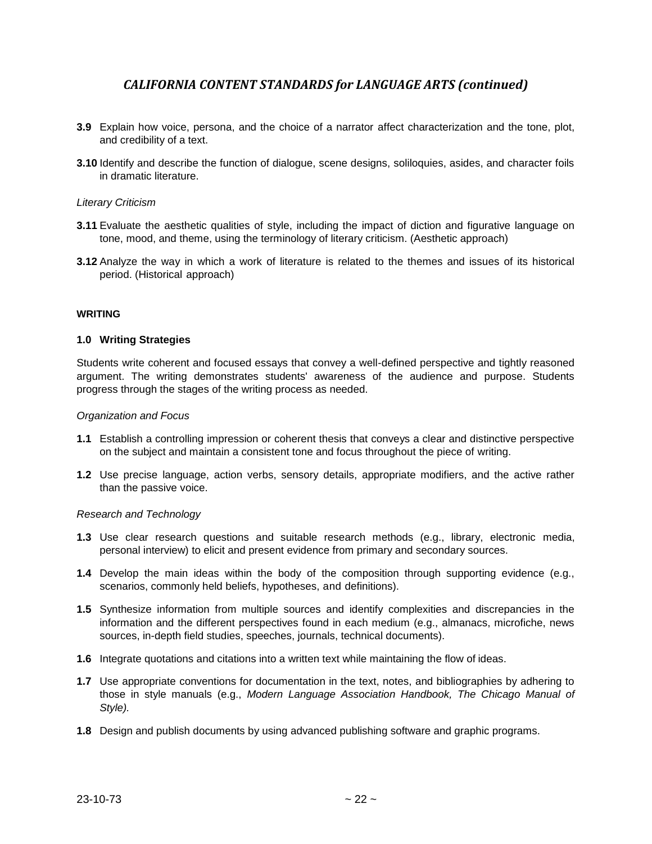- **3.9** Explain how voice, persona, and the choice of a narrator affect characterization and the tone, plot, and credibility of a text.
- **3.10** Identify and describe the function of dialogue, scene designs, soliloquies, asides, and character foils in dramatic literature.

#### *Literary Criticism*

- **3.11** Evaluate the aesthetic qualities of style, including the impact of diction and figurative language on tone, mood, and theme, using the terminology of literary criticism. (Aesthetic approach)
- **3.12** Analyze the way in which a work of literature is related to the themes and issues of its historical period. (Historical approach)

#### **WRITING**

#### **1.0 Writing Strategies**

Students write coherent and focused essays that convey a well-defined perspective and tightly reasoned argument. The writing demonstrates students' awareness of the audience and purpose. Students progress through the stages of the writing process as needed.

#### *Organization and Focus*

- **1.1** Establish a controlling impression or coherent thesis that conveys a clear and distinctive perspective on the subject and maintain a consistent tone and focus throughout the piece of writing.
- **1.2** Use precise language, action verbs, sensory details, appropriate modifiers, and the active rather than the passive voice.

#### *Research and Technology*

- **1.3** Use clear research questions and suitable research methods (e.g., library, electronic media, personal interview) to elicit and present evidence from primary and secondary sources.
- **1.4** Develop the main ideas within the body of the composition through supporting evidence (e.g., scenarios, commonly held beliefs, hypotheses, and definitions).
- **1.5** Synthesize information from multiple sources and identify complexities and discrepancies in the information and the different perspectives found in each medium (e.g., almanacs, microfiche, news sources, in-depth field studies, speeches, journals, technical documents).
- **1.6** Integrate quotations and citations into a written text while maintaining the flow of ideas.
- **1.7** Use appropriate conventions for documentation in the text, notes, and bibliographies by adhering to those in style manuals (e.g., *Modern Language Association Handbook, The Chicago Manual of Style).*
- **1.8** Design and publish documents by using advanced publishing software and graphic programs.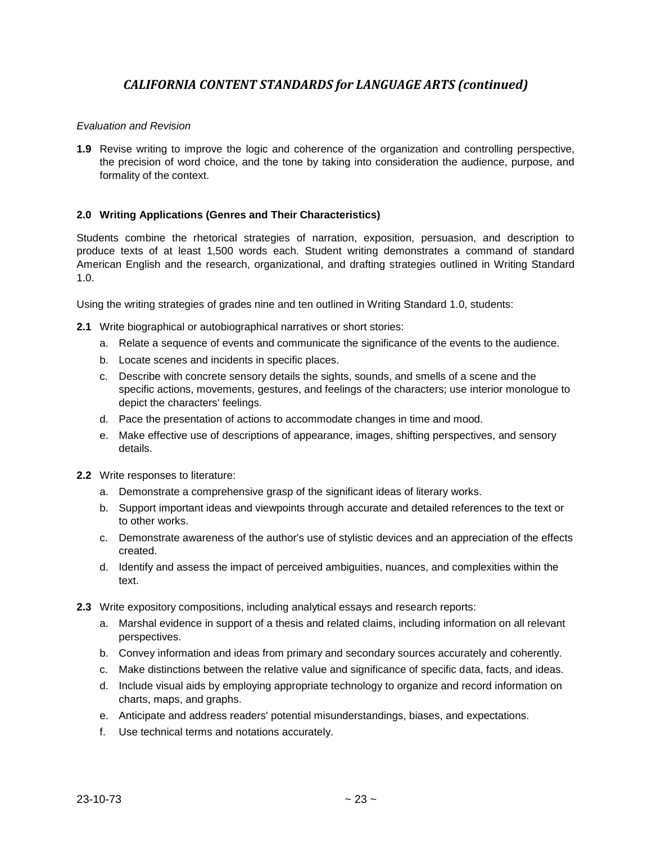#### *Evaluation and Revision*

**1.9** Revise writing to improve the logic and coherence of the organization and controlling perspective, the precision of word choice, and the tone by taking into consideration the audience, purpose, and formality of the context.

### **2.0 Writing Applications (Genres and Their Characteristics)**

Students combine the rhetorical strategies of narration, exposition, persuasion, and description to produce texts of at least 1,500 words each. Student writing demonstrates a command of standard American English and the research, organizational, and drafting strategies outlined in Writing Standard 1.0.

Using the writing strategies of grades nine and ten outlined in Writing Standard 1.0, students:

**2.1** Write biographical or autobiographical narratives or short stories:

- a. Relate a sequence of events and communicate the significance of the events to the audience.
- b. Locate scenes and incidents in specific places.
- c. Describe with concrete sensory details the sights, sounds, and smells of a scene and the specific actions, movements, gestures, and feelings of the characters; use interior monologue to depict the characters' feelings.
- d. Pace the presentation of actions to accommodate changes in time and mood.
- e. Make effective use of descriptions of appearance, images, shifting perspectives, and sensory details.
- **2.2** Write responses to literature:
	- a. Demonstrate a comprehensive grasp of the significant ideas of literary works.
	- b. Support important ideas and viewpoints through accurate and detailed references to the text or to other works.
	- c. Demonstrate awareness of the author's use of stylistic devices and an appreciation of the effects created.
	- d. Identify and assess the impact of perceived ambiguities, nuances, and complexities within the text.
- **2.3** Write expository compositions, including analytical essays and research reports:
	- a. Marshal evidence in support of a thesis and related claims, including information on all relevant perspectives.
	- b. Convey information and ideas from primary and secondary sources accurately and coherently.
	- c. Make distinctions between the relative value and significance of specific data, facts, and ideas.
	- d. Include visual aids by employing appropriate technology to organize and record information on charts, maps, and graphs.
	- e. Anticipate and address readers' potential misunderstandings, biases, and expectations.
	- f. Use technical terms and notations accurately.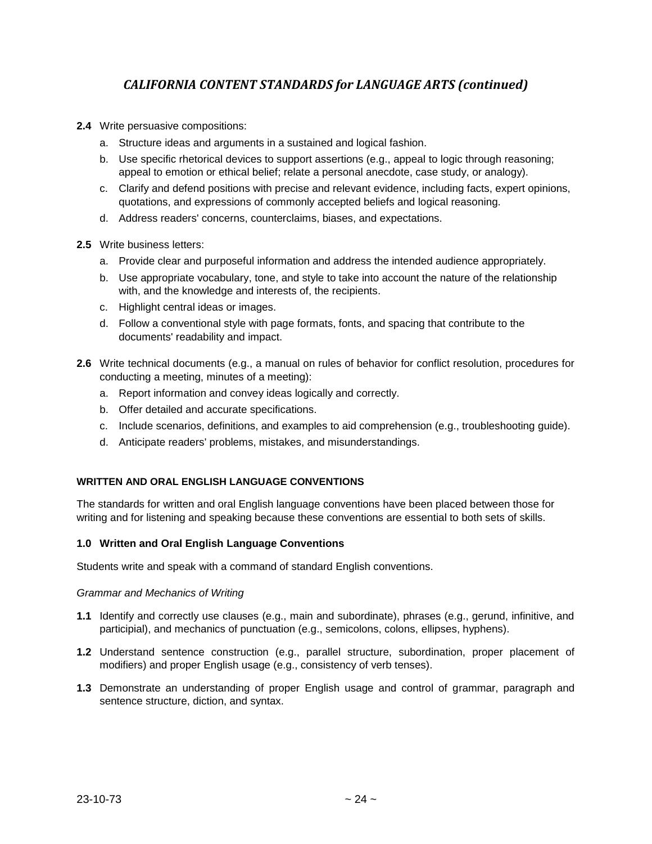- **2.4** Write persuasive compositions:
	- a. Structure ideas and arguments in a sustained and logical fashion.
	- b. Use specific rhetorical devices to support assertions (e.g., appeal to logic through reasoning; appeal to emotion or ethical belief; relate a personal anecdote, case study, or analogy).
	- c. Clarify and defend positions with precise and relevant evidence, including facts, expert opinions, quotations, and expressions of commonly accepted beliefs and logical reasoning.
	- d. Address readers' concerns, counterclaims, biases, and expectations.
- **2.5** Write business letters:
	- a. Provide clear and purposeful information and address the intended audience appropriately.
	- b. Use appropriate vocabulary, tone, and style to take into account the nature of the relationship with, and the knowledge and interests of, the recipients.
	- c. Highlight central ideas or images.
	- d. Follow a conventional style with page formats, fonts, and spacing that contribute to the documents' readability and impact.
- **2.6** Write technical documents (e.g., a manual on rules of behavior for conflict resolution, procedures for conducting a meeting, minutes of a meeting):
	- a. Report information and convey ideas logically and correctly.
	- b. Offer detailed and accurate specifications.
	- c. Include scenarios, definitions, and examples to aid comprehension (e.g., troubleshooting guide).
	- d. Anticipate readers' problems, mistakes, and misunderstandings.

#### **WRITTEN AND ORAL ENGLISH LANGUAGE CONVENTIONS**

The standards for written and oral English language conventions have been placed between those for writing and for listening and speaking because these conventions are essential to both sets of skills.

#### **1.0 Written and Oral English Language Conventions**

Students write and speak with a command of standard English conventions.

#### *Grammar and Mechanics of Writing*

- **1.1** Identify and correctly use clauses (e.g., main and subordinate), phrases (e.g., gerund, infinitive, and participial), and mechanics of punctuation (e.g., semicolons, colons, ellipses, hyphens).
- **1.2** Understand sentence construction (e.g., parallel structure, subordination, proper placement of modifiers) and proper English usage (e.g., consistency of verb tenses).
- **1.3** Demonstrate an understanding of proper English usage and control of grammar, paragraph and sentence structure, diction, and syntax.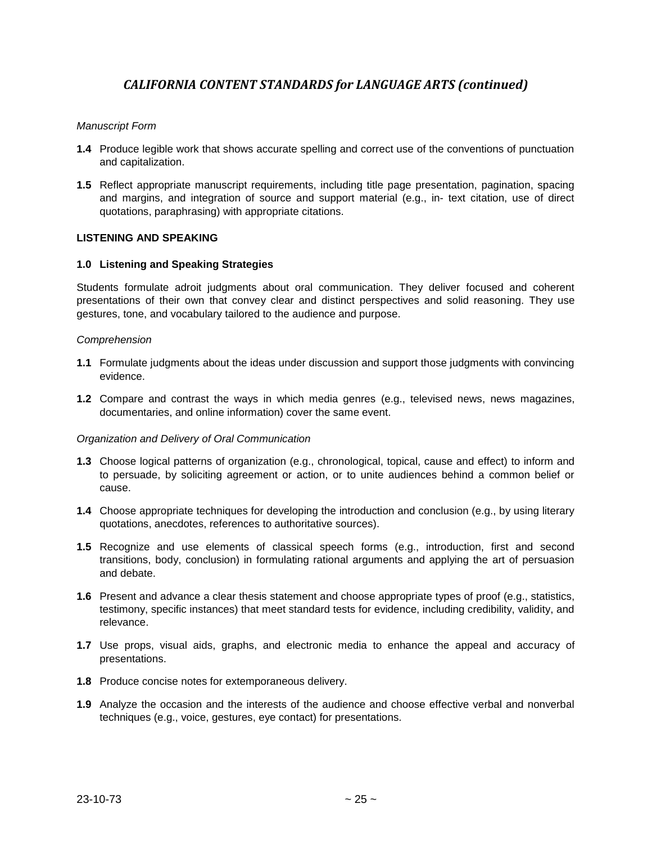#### *Manuscript Form*

- **1.4** Produce legible work that shows accurate spelling and correct use of the conventions of punctuation and capitalization.
- **1.5** Reflect appropriate manuscript requirements, including title page presentation, pagination, spacing and margins, and integration of source and support material (e.g., in- text citation, use of direct quotations, paraphrasing) with appropriate citations.

### **LISTENING AND SPEAKING**

#### **1.0 Listening and Speaking Strategies**

Students formulate adroit judgments about oral communication. They deliver focused and coherent presentations of their own that convey clear and distinct perspectives and solid reasoning. They use gestures, tone, and vocabulary tailored to the audience and purpose.

#### *Comprehension*

- **1.1** Formulate judgments about the ideas under discussion and support those judgments with convincing evidence.
- **1.2** Compare and contrast the ways in which media genres (e.g., televised news, news magazines, documentaries, and online information) cover the same event.

#### *Organization and Delivery of Oral Communication*

- **1.3** Choose logical patterns of organization (e.g., chronological, topical, cause and effect) to inform and to persuade, by soliciting agreement or action, or to unite audiences behind a common belief or cause.
- **1.4** Choose appropriate techniques for developing the introduction and conclusion (e.g., by using literary quotations, anecdotes, references to authoritative sources).
- **1.5** Recognize and use elements of classical speech forms (e.g., introduction, first and second transitions, body, conclusion) in formulating rational arguments and applying the art of persuasion and debate.
- **1.6** Present and advance a clear thesis statement and choose appropriate types of proof (e.g., statistics, testimony, specific instances) that meet standard tests for evidence, including credibility, validity, and relevance.
- **1.7** Use props, visual aids, graphs, and electronic media to enhance the appeal and accuracy of presentations.
- **1.8** Produce concise notes for extemporaneous delivery.
- **1.9** Analyze the occasion and the interests of the audience and choose effective verbal and nonverbal techniques (e.g., voice, gestures, eye contact) for presentations.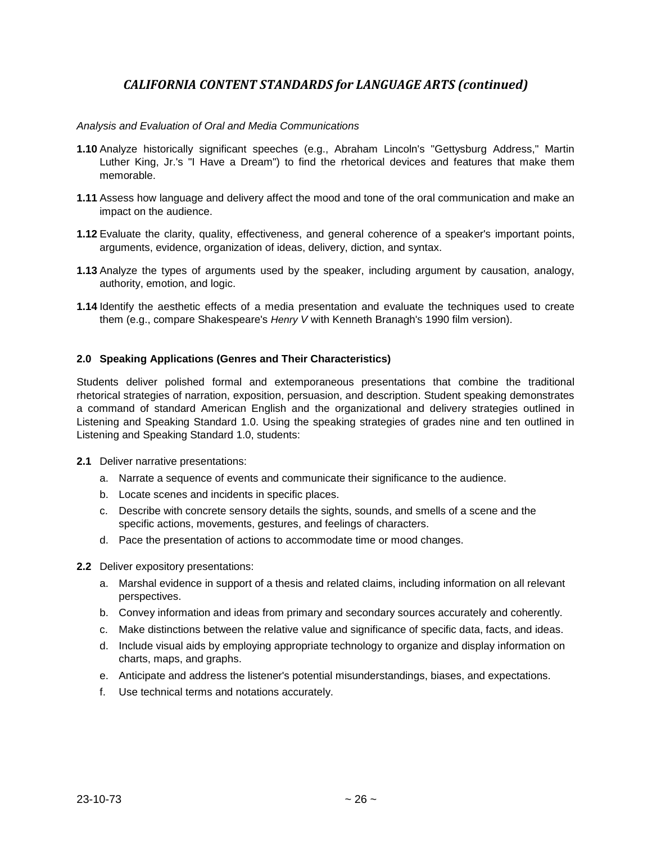#### *Analysis and Evaluation of Oral and Media Communications*

- **1.10** Analyze historically significant speeches (e.g., Abraham Lincoln's "Gettysburg Address," Martin Luther King, Jr.'s "I Have a Dream") to find the rhetorical devices and features that make them memorable.
- **1.11** Assess how language and delivery affect the mood and tone of the oral communication and make an impact on the audience.
- **1.12** Evaluate the clarity, quality, effectiveness, and general coherence of a speaker's important points, arguments, evidence, organization of ideas, delivery, diction, and syntax.
- **1.13** Analyze the types of arguments used by the speaker, including argument by causation, analogy, authority, emotion, and logic.
- **1.14** Identify the aesthetic effects of a media presentation and evaluate the techniques used to create them (e.g., compare Shakespeare's *Henry V* with Kenneth Branagh's 1990 film version).

#### **2.0 Speaking Applications (Genres and Their Characteristics)**

Students deliver polished formal and extemporaneous presentations that combine the traditional rhetorical strategies of narration, exposition, persuasion, and description. Student speaking demonstrates a command of standard American English and the organizational and delivery strategies outlined in Listening and Speaking Standard 1.0. Using the speaking strategies of grades nine and ten outlined in Listening and Speaking Standard 1.0, students:

- **2.1** Deliver narrative presentations:
	- a. Narrate a sequence of events and communicate their significance to the audience.
	- b. Locate scenes and incidents in specific places.
	- c. Describe with concrete sensory details the sights, sounds, and smells of a scene and the specific actions, movements, gestures, and feelings of characters.
	- d. Pace the presentation of actions to accommodate time or mood changes.
- **2.2** Deliver expository presentations:
	- a. Marshal evidence in support of a thesis and related claims, including information on all relevant perspectives.
	- b. Convey information and ideas from primary and secondary sources accurately and coherently.
	- c. Make distinctions between the relative value and significance of specific data, facts, and ideas.
	- d. Include visual aids by employing appropriate technology to organize and display information on charts, maps, and graphs.
	- e. Anticipate and address the listener's potential misunderstandings, biases, and expectations.
	- f. Use technical terms and notations accurately.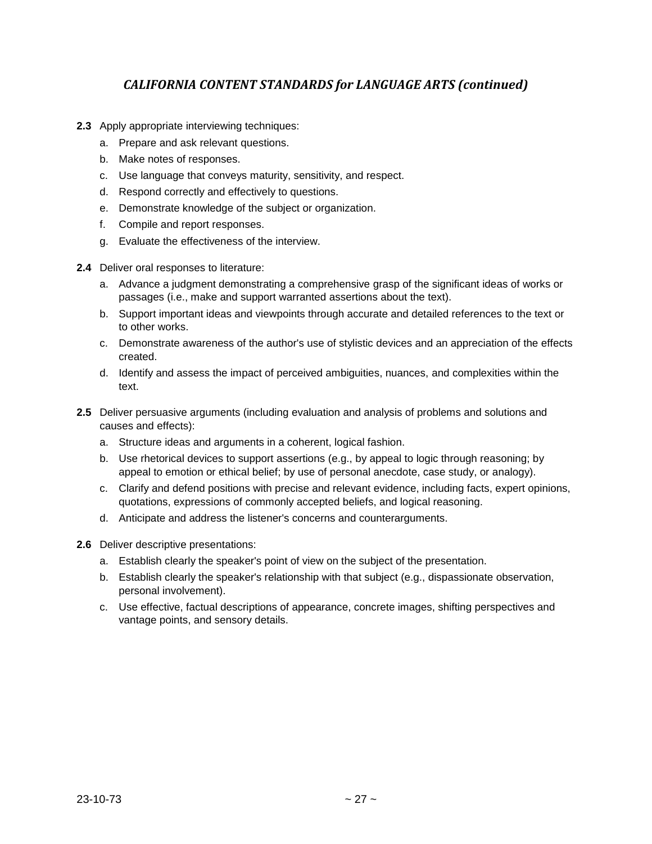- **2.3** Apply appropriate interviewing techniques:
	- a. Prepare and ask relevant questions.
	- b. Make notes of responses.
	- c. Use language that conveys maturity, sensitivity, and respect.
	- d. Respond correctly and effectively to questions.
	- e. Demonstrate knowledge of the subject or organization.
	- f. Compile and report responses.
	- g. Evaluate the effectiveness of the interview.
- **2.4** Deliver oral responses to literature:
	- a. Advance a judgment demonstrating a comprehensive grasp of the significant ideas of works or passages (i.e., make and support warranted assertions about the text).
	- b. Support important ideas and viewpoints through accurate and detailed references to the text or to other works.
	- c. Demonstrate awareness of the author's use of stylistic devices and an appreciation of the effects created.
	- d. Identify and assess the impact of perceived ambiguities, nuances, and complexities within the text.
- **2.5** Deliver persuasive arguments (including evaluation and analysis of problems and solutions and causes and effects):
	- a. Structure ideas and arguments in a coherent, logical fashion.
	- b. Use rhetorical devices to support assertions (e.g., by appeal to logic through reasoning; by appeal to emotion or ethical belief; by use of personal anecdote, case study, or analogy).
	- c. Clarify and defend positions with precise and relevant evidence, including facts, expert opinions, quotations, expressions of commonly accepted beliefs, and logical reasoning.
	- d. Anticipate and address the listener's concerns and counterarguments.
- **2.6** Deliver descriptive presentations:
	- a. Establish clearly the speaker's point of view on the subject of the presentation.
	- b. Establish clearly the speaker's relationship with that subject (e.g., dispassionate observation, personal involvement).
	- c. Use effective, factual descriptions of appearance, concrete images, shifting perspectives and vantage points, and sensory details.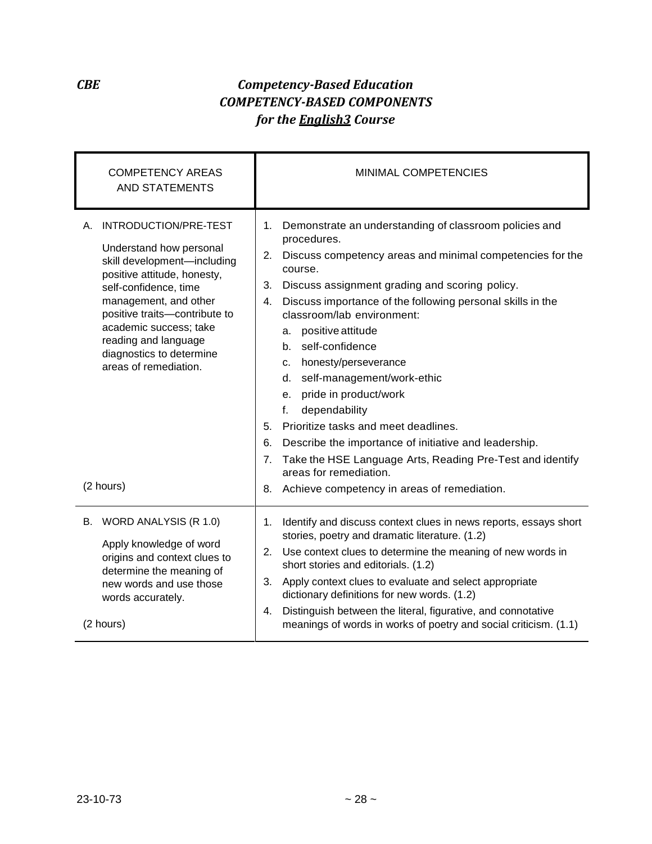# *CBE Competency-Based Education COMPETENCY-BASED COMPONENTS for the English3 Course*

| <b>COMPETENCY AREAS</b><br><b>AND STATEMENTS</b>                                                                                                                                                                                                                                                               | MINIMAL COMPETENCIES                                                                                                                                                                                                                                                                                                                                                                                                                                                                                                                                                                                                                                                                                      |
|----------------------------------------------------------------------------------------------------------------------------------------------------------------------------------------------------------------------------------------------------------------------------------------------------------------|-----------------------------------------------------------------------------------------------------------------------------------------------------------------------------------------------------------------------------------------------------------------------------------------------------------------------------------------------------------------------------------------------------------------------------------------------------------------------------------------------------------------------------------------------------------------------------------------------------------------------------------------------------------------------------------------------------------|
| INTRODUCTION/PRE-TEST<br>А.<br>Understand how personal<br>skill development-including<br>positive attitude, honesty,<br>self-confidence, time<br>management, and other<br>positive traits-contribute to<br>academic success; take<br>reading and language<br>diagnostics to determine<br>areas of remediation. | Demonstrate an understanding of classroom policies and<br>1.<br>procedures.<br>Discuss competency areas and minimal competencies for the<br>2.<br>course.<br>Discuss assignment grading and scoring policy.<br>3.<br>Discuss importance of the following personal skills in the<br>4.<br>classroom/lab environment:<br>positive attitude<br>а.<br>self-confidence<br>b.<br>honesty/perseverance<br>C.<br>self-management/work-ethic<br>d.<br>pride in product/work<br>е.<br>f.<br>dependability<br>Prioritize tasks and meet deadlines.<br>5.<br>Describe the importance of initiative and leadership.<br>6.<br>Take the HSE Language Arts, Reading Pre-Test and identify<br>7.<br>areas for remediation. |
| (2 hours)                                                                                                                                                                                                                                                                                                      | Achieve competency in areas of remediation.<br>8.                                                                                                                                                                                                                                                                                                                                                                                                                                                                                                                                                                                                                                                         |
| В.<br>WORD ANALYSIS (R 1.0)<br>Apply knowledge of word<br>origins and context clues to<br>determine the meaning of<br>new words and use those<br>words accurately.<br>(2 hours)                                                                                                                                | Identify and discuss context clues in news reports, essays short<br>1.<br>stories, poetry and dramatic literature. (1.2)<br>Use context clues to determine the meaning of new words in<br>2.<br>short stories and editorials. (1.2)<br>Apply context clues to evaluate and select appropriate<br>3.<br>dictionary definitions for new words. (1.2)<br>Distinguish between the literal, figurative, and connotative<br>4.<br>meanings of words in works of poetry and social criticism. (1.1)                                                                                                                                                                                                              |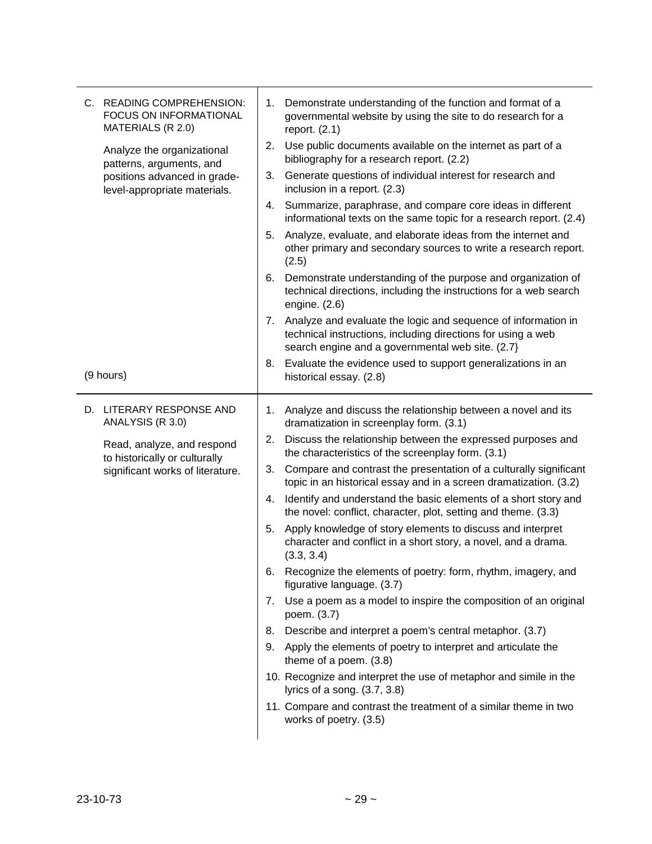| C. READING COMPREHENSION:<br>FOCUS ON INFORMATIONAL<br>MATERIALS (R 2.0)<br>Analyze the organizational<br>patterns, arguments, and<br>positions advanced in grade-<br>level-appropriate materials. | Demonstrate understanding of the function and format of a<br>1.<br>governmental website by using the site to do research for a<br>report. $(2.1)$<br>Use public documents available on the internet as part of a<br>2.<br>bibliography for a research report. (2.2)<br>Generate questions of individual interest for research and<br>3.<br>inclusion in a report. (2.3)<br>Summarize, paraphrase, and compare core ideas in different<br>4.<br>informational texts on the same topic for a research report. (2.4)<br>Analyze, evaluate, and elaborate ideas from the internet and<br>5.<br>other primary and secondary sources to write a research report.<br>(2.5)<br>Demonstrate understanding of the purpose and organization of<br>6.<br>technical directions, including the instructions for a web search<br>engine. (2.6)<br>Analyze and evaluate the logic and sequence of information in<br>7.<br>technical instructions, including directions for using a web<br>search engine and a governmental web site. (2.7)<br>Evaluate the evidence used to support generalizations in an<br>8.                                                                                                                                                          |
|----------------------------------------------------------------------------------------------------------------------------------------------------------------------------------------------------|----------------------------------------------------------------------------------------------------------------------------------------------------------------------------------------------------------------------------------------------------------------------------------------------------------------------------------------------------------------------------------------------------------------------------------------------------------------------------------------------------------------------------------------------------------------------------------------------------------------------------------------------------------------------------------------------------------------------------------------------------------------------------------------------------------------------------------------------------------------------------------------------------------------------------------------------------------------------------------------------------------------------------------------------------------------------------------------------------------------------------------------------------------------------------------------------------------------------------------------------------------|
| (9 hours)                                                                                                                                                                                          | historical essay. (2.8)                                                                                                                                                                                                                                                                                                                                                                                                                                                                                                                                                                                                                                                                                                                                                                                                                                                                                                                                                                                                                                                                                                                                                                                                                                  |
| D. LITERARY RESPONSE AND<br>ANALYSIS (R 3.0)<br>Read, analyze, and respond<br>to historically or culturally<br>significant works of literature.                                                    | Analyze and discuss the relationship between a novel and its<br>1.<br>dramatization in screenplay form. (3.1)<br>Discuss the relationship between the expressed purposes and<br>2.<br>the characteristics of the screenplay form. (3.1)<br>Compare and contrast the presentation of a culturally significant<br>3.<br>topic in an historical essay and in a screen dramatization. (3.2)<br>Identify and understand the basic elements of a short story and<br>4.<br>the novel: conflict, character, plot, setting and theme. (3.3)<br>5.<br>Apply knowledge of story elements to discuss and interpret<br>character and conflict in a short story, a novel, and a drama.<br>(3.3, 3.4)<br>Recognize the elements of poetry: form, rhythm, imagery, and<br>6.<br>figurative language. (3.7)<br>Use a poem as a model to inspire the composition of an original<br>7.<br>poem. (3.7)<br>Describe and interpret a poem's central metaphor. (3.7)<br>8.<br>Apply the elements of poetry to interpret and articulate the<br>9.<br>theme of a poem. (3.8)<br>10. Recognize and interpret the use of metaphor and simile in the<br>lyrics of a song. $(3.7, 3.8)$<br>11. Compare and contrast the treatment of a similar theme in two<br>works of poetry. (3.5) |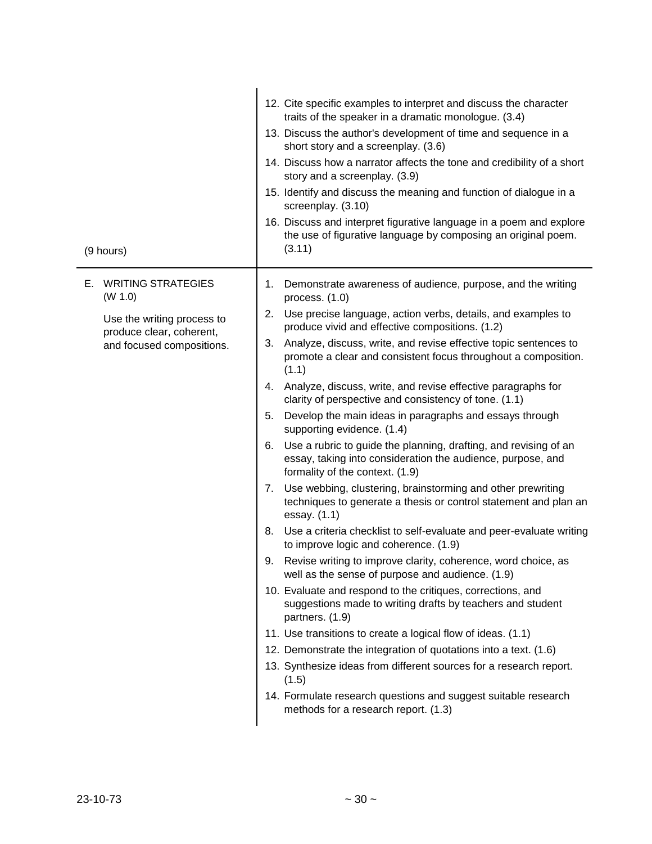|    | (9 hours)                                                                                                                   | 12. Cite specific examples to interpret and discuss the character<br>traits of the speaker in a dramatic monologue. (3.4)<br>13. Discuss the author's development of time and sequence in a<br>short story and a screenplay. (3.6)<br>14. Discuss how a narrator affects the tone and credibility of a short<br>story and a screenplay. (3.9)<br>15. Identify and discuss the meaning and function of dialogue in a<br>screenplay. (3.10)<br>16. Discuss and interpret figurative language in a poem and explore<br>the use of figurative language by composing an original poem.<br>(3.11)                                                                                                                                                                                                                                                                                                                                                                                                                                                                                                                                                                                                                                                                                                                                                                                                                                                                                                                                                                                                                                                                    |
|----|-----------------------------------------------------------------------------------------------------------------------------|----------------------------------------------------------------------------------------------------------------------------------------------------------------------------------------------------------------------------------------------------------------------------------------------------------------------------------------------------------------------------------------------------------------------------------------------------------------------------------------------------------------------------------------------------------------------------------------------------------------------------------------------------------------------------------------------------------------------------------------------------------------------------------------------------------------------------------------------------------------------------------------------------------------------------------------------------------------------------------------------------------------------------------------------------------------------------------------------------------------------------------------------------------------------------------------------------------------------------------------------------------------------------------------------------------------------------------------------------------------------------------------------------------------------------------------------------------------------------------------------------------------------------------------------------------------------------------------------------------------------------------------------------------------|
| Е. | <b>WRITING STRATEGIES</b><br>(W 1.0)<br>Use the writing process to<br>produce clear, coherent,<br>and focused compositions. | Demonstrate awareness of audience, purpose, and the writing<br>1.<br>process. $(1.0)$<br>2. Use precise language, action verbs, details, and examples to<br>produce vivid and effective compositions. (1.2)<br>Analyze, discuss, write, and revise effective topic sentences to<br>3.<br>promote a clear and consistent focus throughout a composition.<br>(1.1)<br>Analyze, discuss, write, and revise effective paragraphs for<br>4.<br>clarity of perspective and consistency of tone. (1.1)<br>Develop the main ideas in paragraphs and essays through<br>5.<br>supporting evidence. (1.4)<br>Use a rubric to guide the planning, drafting, and revising of an<br>6.<br>essay, taking into consideration the audience, purpose, and<br>formality of the context. (1.9)<br>7. Use webbing, clustering, brainstorming and other prewriting<br>techniques to generate a thesis or control statement and plan an<br>essay. (1.1)<br>Use a criteria checklist to self-evaluate and peer-evaluate writing<br>8.<br>to improve logic and coherence. (1.9)<br>Revise writing to improve clarity, coherence, word choice, as<br>9.<br>well as the sense of purpose and audience. (1.9)<br>10. Evaluate and respond to the critiques, corrections, and<br>suggestions made to writing drafts by teachers and student<br>partners. (1.9)<br>11. Use transitions to create a logical flow of ideas. (1.1)<br>12. Demonstrate the integration of quotations into a text. (1.6)<br>13. Synthesize ideas from different sources for a research report.<br>(1.5)<br>14. Formulate research questions and suggest suitable research<br>methods for a research report. (1.3) |
|    |                                                                                                                             |                                                                                                                                                                                                                                                                                                                                                                                                                                                                                                                                                                                                                                                                                                                                                                                                                                                                                                                                                                                                                                                                                                                                                                                                                                                                                                                                                                                                                                                                                                                                                                                                                                                                |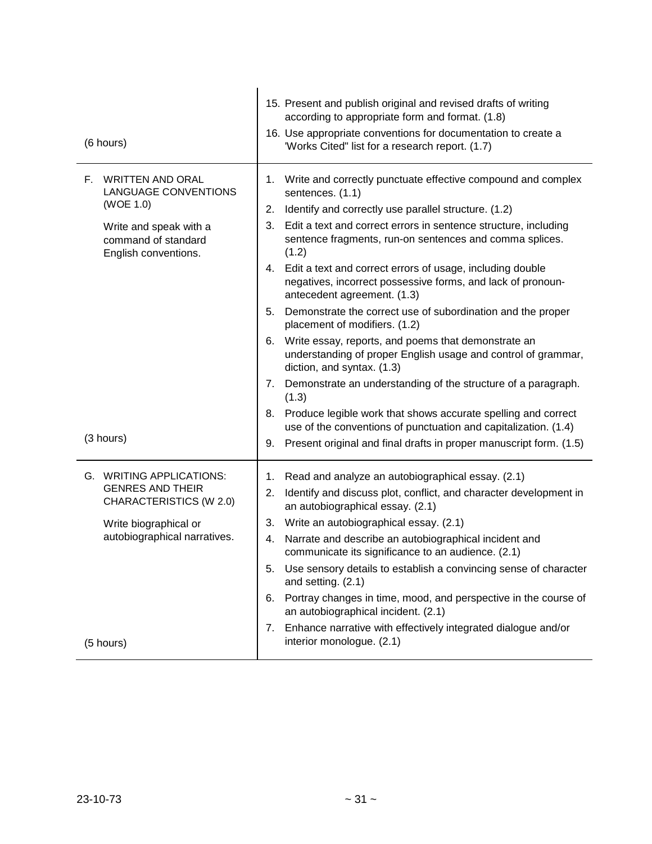| (6 hours)                                                                                                                                          | 15. Present and publish original and revised drafts of writing<br>according to appropriate form and format. (1.8)<br>16. Use appropriate conventions for documentation to create a<br>'Works Cited" list for a research report. (1.7)                                                                                                                                                                                                                                                                                                                                                                                                                                                                                                                                                                                                                                                       |
|----------------------------------------------------------------------------------------------------------------------------------------------------|---------------------------------------------------------------------------------------------------------------------------------------------------------------------------------------------------------------------------------------------------------------------------------------------------------------------------------------------------------------------------------------------------------------------------------------------------------------------------------------------------------------------------------------------------------------------------------------------------------------------------------------------------------------------------------------------------------------------------------------------------------------------------------------------------------------------------------------------------------------------------------------------|
| Е.<br><b>WRITTEN AND ORAL</b><br><b>LANGUAGE CONVENTIONS</b><br>(WOE 1.0)<br>Write and speak with a<br>command of standard<br>English conventions. | Write and correctly punctuate effective compound and complex<br>1.<br>sentences. (1.1)<br>Identify and correctly use parallel structure. (1.2)<br>2.<br>3.<br>Edit a text and correct errors in sentence structure, including<br>sentence fragments, run-on sentences and comma splices.<br>(1.2)<br>Edit a text and correct errors of usage, including double<br>4.<br>negatives, incorrect possessive forms, and lack of pronoun-<br>antecedent agreement. (1.3)<br>Demonstrate the correct use of subordination and the proper<br>5.<br>placement of modifiers. (1.2)<br>Write essay, reports, and poems that demonstrate an<br>6.<br>understanding of proper English usage and control of grammar,<br>diction, and syntax. (1.3)<br>Demonstrate an understanding of the structure of a paragraph.<br>7.<br>(1.3)<br>Produce legible work that shows accurate spelling and correct<br>8. |
| (3 hours)                                                                                                                                          | use of the conventions of punctuation and capitalization. (1.4)<br>Present original and final drafts in proper manuscript form. (1.5)<br>9.                                                                                                                                                                                                                                                                                                                                                                                                                                                                                                                                                                                                                                                                                                                                                 |
| G. WRITING APPLICATIONS:<br><b>GENRES AND THEIR</b><br><b>CHARACTERISTICS (W 2.0)</b><br>Write biographical or<br>autobiographical narratives.     | Read and analyze an autobiographical essay. (2.1)<br>1.<br>Identify and discuss plot, conflict, and character development in<br>2.<br>an autobiographical essay. (2.1)<br>Write an autobiographical essay. (2.1)<br>3.<br>Narrate and describe an autobiographical incident and<br>4.<br>communicate its significance to an audience. (2.1)<br>Use sensory details to establish a convincing sense of character<br>5.<br>and setting. (2.1)<br>Portray changes in time, mood, and perspective in the course of<br>6.<br>an autobiographical incident. (2.1)<br>Enhance narrative with effectively integrated dialogue and/or<br>7.                                                                                                                                                                                                                                                          |
| (5 hours)                                                                                                                                          | interior monologue. (2.1)                                                                                                                                                                                                                                                                                                                                                                                                                                                                                                                                                                                                                                                                                                                                                                                                                                                                   |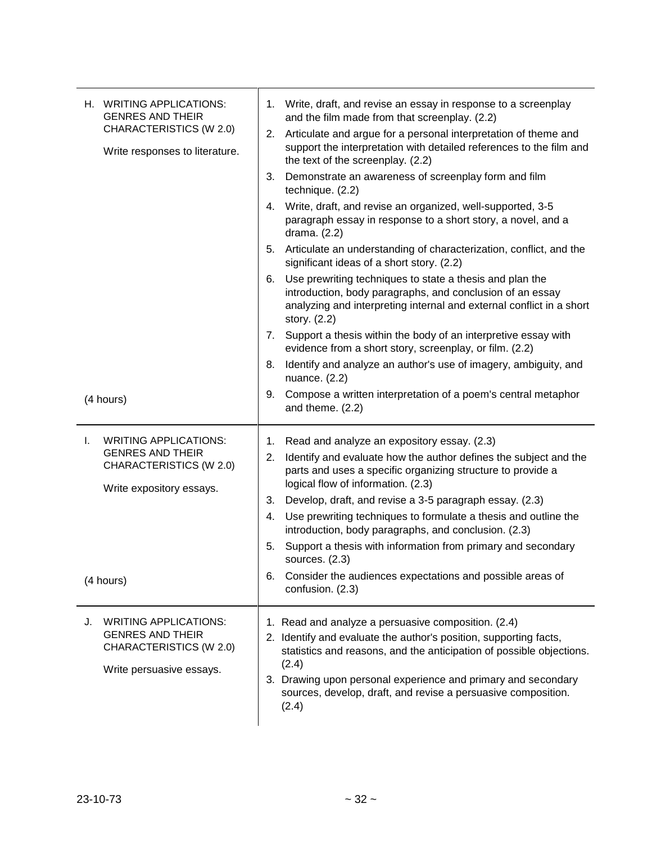| H. WRITING APPLICATIONS:<br><b>GENRES AND THEIR</b><br><b>CHARACTERISTICS (W 2.0)</b><br>Write responses to literature.                  | 1. Write, draft, and revise an essay in response to a screenplay<br>and the film made from that screenplay. (2.2)<br>Articulate and argue for a personal interpretation of theme and<br>2.<br>support the interpretation with detailed references to the film and<br>the text of the screenplay. (2.2)<br>Demonstrate an awareness of screenplay form and film<br>3.<br>technique. (2.2)<br>Write, draft, and revise an organized, well-supported, 3-5<br>4.<br>paragraph essay in response to a short story, a novel, and a<br>drama. $(2.2)$<br>Articulate an understanding of characterization, conflict, and the<br>5.<br>significant ideas of a short story. (2.2)<br>Use prewriting techniques to state a thesis and plan the<br>6.<br>introduction, body paragraphs, and conclusion of an essay<br>analyzing and interpreting internal and external conflict in a short<br>story. (2.2)<br>Support a thesis within the body of an interpretive essay with<br>7.<br>evidence from a short story, screenplay, or film. (2.2)<br>Identify and analyze an author's use of imagery, ambiguity, and<br>8.<br>nuance. (2.2) |
|------------------------------------------------------------------------------------------------------------------------------------------|-----------------------------------------------------------------------------------------------------------------------------------------------------------------------------------------------------------------------------------------------------------------------------------------------------------------------------------------------------------------------------------------------------------------------------------------------------------------------------------------------------------------------------------------------------------------------------------------------------------------------------------------------------------------------------------------------------------------------------------------------------------------------------------------------------------------------------------------------------------------------------------------------------------------------------------------------------------------------------------------------------------------------------------------------------------------------------------------------------------------------------|
| (4 hours)                                                                                                                                | Compose a written interpretation of a poem's central metaphor<br>9.<br>and theme. $(2.2)$                                                                                                                                                                                                                                                                                                                                                                                                                                                                                                                                                                                                                                                                                                                                                                                                                                                                                                                                                                                                                                   |
| <b>WRITING APPLICATIONS:</b><br>L.<br><b>GENRES AND THEIR</b><br><b>CHARACTERISTICS (W 2.0)</b><br>Write expository essays.<br>(4 hours) | Read and analyze an expository essay. (2.3)<br>1.<br>Identify and evaluate how the author defines the subject and the<br>2.<br>parts and uses a specific organizing structure to provide a<br>logical flow of information. (2.3)<br>Develop, draft, and revise a 3-5 paragraph essay. (2.3)<br>3.<br>Use prewriting techniques to formulate a thesis and outline the<br>4.<br>introduction, body paragraphs, and conclusion. (2.3)<br>Support a thesis with information from primary and secondary<br>5.<br>sources. $(2.3)$<br>6. Consider the audiences expectations and possible areas of<br>confusion. (2.3)                                                                                                                                                                                                                                                                                                                                                                                                                                                                                                            |
| <b>WRITING APPLICATIONS:</b><br>J.<br><b>GENRES AND THEIR</b><br>CHARACTERISTICS (W 2.0)<br>Write persuasive essays.                     | 1. Read and analyze a persuasive composition. (2.4)<br>2. Identify and evaluate the author's position, supporting facts,<br>statistics and reasons, and the anticipation of possible objections.<br>(2.4)<br>3. Drawing upon personal experience and primary and secondary<br>sources, develop, draft, and revise a persuasive composition.<br>(2.4)                                                                                                                                                                                                                                                                                                                                                                                                                                                                                                                                                                                                                                                                                                                                                                        |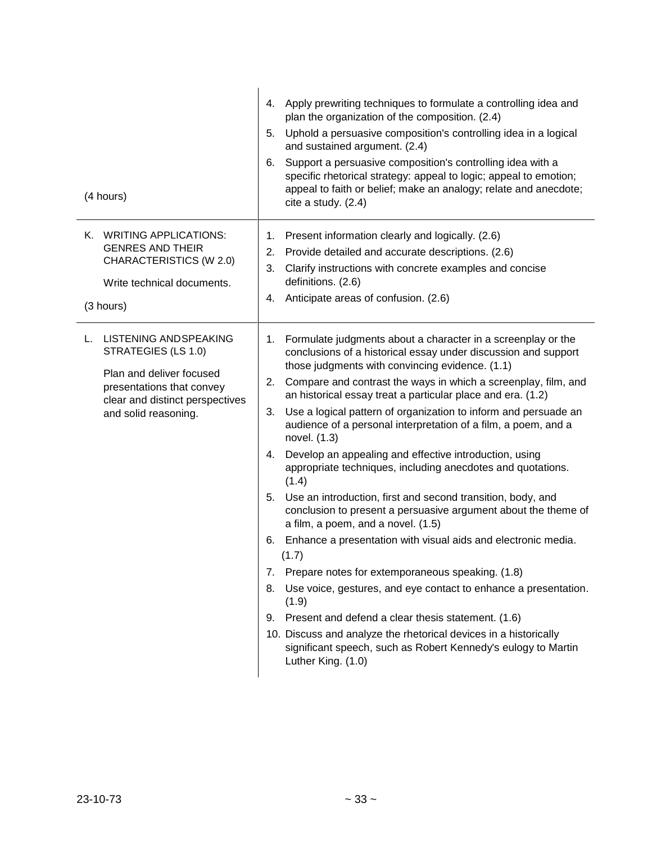| (4 hours)                                                                                                                                                               | Apply prewriting techniques to formulate a controlling idea and<br>4.<br>plan the organization of the composition. (2.4)<br>Uphold a persuasive composition's controlling idea in a logical<br>5.<br>and sustained argument. (2.4)<br>Support a persuasive composition's controlling idea with a<br>6.<br>specific rhetorical strategy: appeal to logic; appeal to emotion;<br>appeal to faith or belief; make an analogy; relate and anecdote;<br>cite a study. (2.4)                                                                                                                                                                                                                                                                                                                                                                                                                                                                                                                                                                                                                                                                                                                                                                                            |
|-------------------------------------------------------------------------------------------------------------------------------------------------------------------------|-------------------------------------------------------------------------------------------------------------------------------------------------------------------------------------------------------------------------------------------------------------------------------------------------------------------------------------------------------------------------------------------------------------------------------------------------------------------------------------------------------------------------------------------------------------------------------------------------------------------------------------------------------------------------------------------------------------------------------------------------------------------------------------------------------------------------------------------------------------------------------------------------------------------------------------------------------------------------------------------------------------------------------------------------------------------------------------------------------------------------------------------------------------------------------------------------------------------------------------------------------------------|
| K. WRITING APPLICATIONS:<br><b>GENRES AND THEIR</b><br>CHARACTERISTICS (W 2.0)<br>Write technical documents.<br>(3 hours)                                               | Present information clearly and logically. (2.6)<br>1.<br>Provide detailed and accurate descriptions. (2.6)<br>2.<br>Clarify instructions with concrete examples and concise<br>3.<br>definitions. (2.6)<br>Anticipate areas of confusion. (2.6)<br>4.                                                                                                                                                                                                                                                                                                                                                                                                                                                                                                                                                                                                                                                                                                                                                                                                                                                                                                                                                                                                            |
| LISTENING AND SPEAKING<br>L.<br>STRATEGIES (LS 1.0)<br>Plan and deliver focused<br>presentations that convey<br>clear and distinct perspectives<br>and solid reasoning. | Formulate judgments about a character in a screenplay or the<br>1.<br>conclusions of a historical essay under discussion and support<br>those judgments with convincing evidence. (1.1)<br>Compare and contrast the ways in which a screenplay, film, and<br>2.<br>an historical essay treat a particular place and era. (1.2)<br>Use a logical pattern of organization to inform and persuade an<br>3.<br>audience of a personal interpretation of a film, a poem, and a<br>novel. (1.3)<br>Develop an appealing and effective introduction, using<br>4.<br>appropriate techniques, including anecdotes and quotations.<br>(1.4)<br>Use an introduction, first and second transition, body, and<br>5.<br>conclusion to present a persuasive argument about the theme of<br>a film, a poem, and a novel. (1.5)<br>Enhance a presentation with visual aids and electronic media.<br>6.<br>(1.7)<br>Prepare notes for extemporaneous speaking. (1.8)<br>7.<br>Use voice, gestures, and eye contact to enhance a presentation.<br>8.<br>(1.9)<br>Present and defend a clear thesis statement. (1.6)<br>9.<br>10. Discuss and analyze the rhetorical devices in a historically<br>significant speech, such as Robert Kennedy's eulogy to Martin<br>Luther King. (1.0) |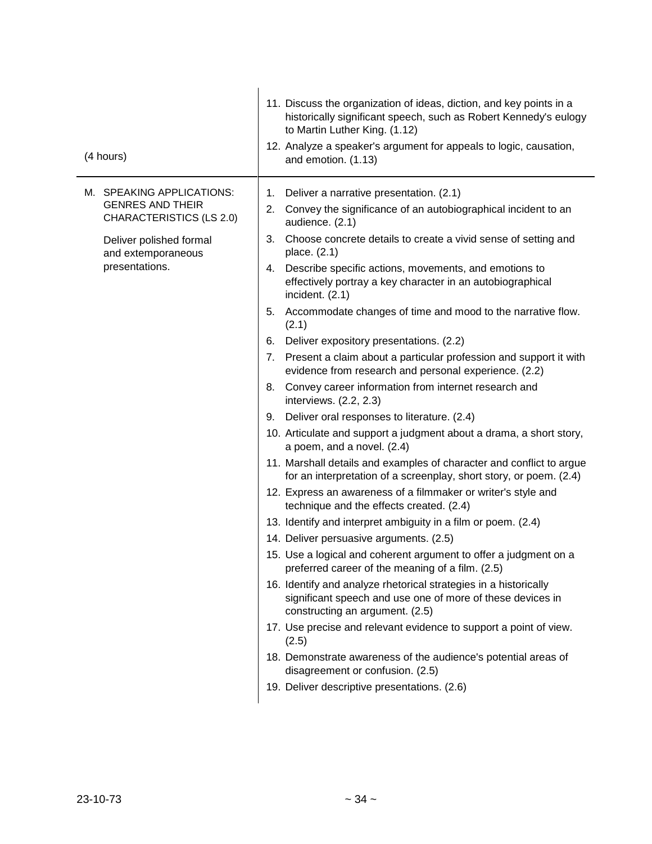| (4 hours)                                            | 11. Discuss the organization of ideas, diction, and key points in a<br>historically significant speech, such as Robert Kennedy's eulogy<br>to Martin Luther King. (1.12)<br>12. Analyze a speaker's argument for appeals to logic, causation,<br>and emotion. (1.13) |
|------------------------------------------------------|----------------------------------------------------------------------------------------------------------------------------------------------------------------------------------------------------------------------------------------------------------------------|
| M. SPEAKING APPLICATIONS:<br><b>GENRES AND THEIR</b> | Deliver a narrative presentation. (2.1)<br>1.                                                                                                                                                                                                                        |
| CHARACTERISTICS (LS 2.0)                             | Convey the significance of an autobiographical incident to an<br>2.<br>audience. (2.1)                                                                                                                                                                               |
| Deliver polished formal<br>and extemporaneous        | Choose concrete details to create a vivid sense of setting and<br>3.<br>place. (2.1)                                                                                                                                                                                 |
| presentations.                                       | Describe specific actions, movements, and emotions to<br>4.<br>effectively portray a key character in an autobiographical<br>incident. (2.1)                                                                                                                         |
|                                                      | Accommodate changes of time and mood to the narrative flow.<br>5.<br>(2.1)                                                                                                                                                                                           |
|                                                      | Deliver expository presentations. (2.2)<br>6.                                                                                                                                                                                                                        |
|                                                      | Present a claim about a particular profession and support it with<br>7.<br>evidence from research and personal experience. (2.2)                                                                                                                                     |
|                                                      | Convey career information from internet research and<br>8.<br>interviews. (2.2, 2.3)                                                                                                                                                                                 |
|                                                      | Deliver oral responses to literature. (2.4)<br>9.                                                                                                                                                                                                                    |
|                                                      | 10. Articulate and support a judgment about a drama, a short story,<br>a poem, and a novel. (2.4)                                                                                                                                                                    |
|                                                      | 11. Marshall details and examples of character and conflict to argue<br>for an interpretation of a screenplay, short story, or poem. (2.4)                                                                                                                           |
|                                                      | 12. Express an awareness of a filmmaker or writer's style and<br>technique and the effects created. (2.4)                                                                                                                                                            |
|                                                      | 13. Identify and interpret ambiguity in a film or poem. (2.4)                                                                                                                                                                                                        |
|                                                      | 14. Deliver persuasive arguments. (2.5)                                                                                                                                                                                                                              |
|                                                      | 15. Use a logical and coherent argument to offer a judgment on a<br>preferred career of the meaning of a film. (2.5)                                                                                                                                                 |
|                                                      | 16. Identify and analyze rhetorical strategies in a historically<br>significant speech and use one of more of these devices in<br>constructing an argument. (2.5)                                                                                                    |
|                                                      | 17. Use precise and relevant evidence to support a point of view.<br>(2.5)                                                                                                                                                                                           |
|                                                      | 18. Demonstrate awareness of the audience's potential areas of<br>disagreement or confusion. (2.5)                                                                                                                                                                   |
|                                                      | 19. Deliver descriptive presentations. (2.6)                                                                                                                                                                                                                         |
|                                                      |                                                                                                                                                                                                                                                                      |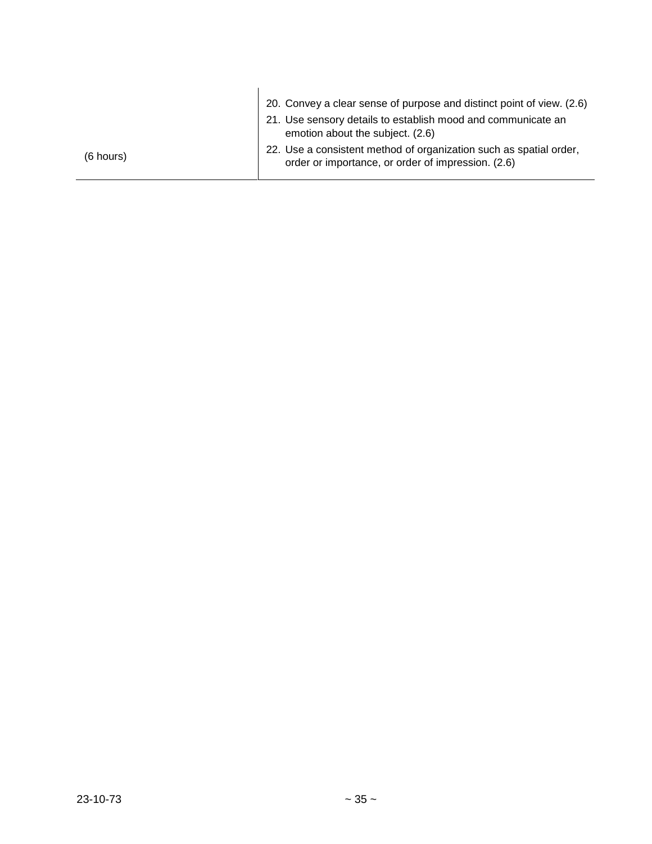|           | 20. Convey a clear sense of purpose and distinct point of view. (2.6)<br>21. Use sensory details to establish mood and communicate an<br>emotion about the subject. (2.6) |
|-----------|---------------------------------------------------------------------------------------------------------------------------------------------------------------------------|
| (6 hours) | 22. Use a consistent method of organization such as spatial order,<br>order or importance, or order of impression. (2.6)                                                  |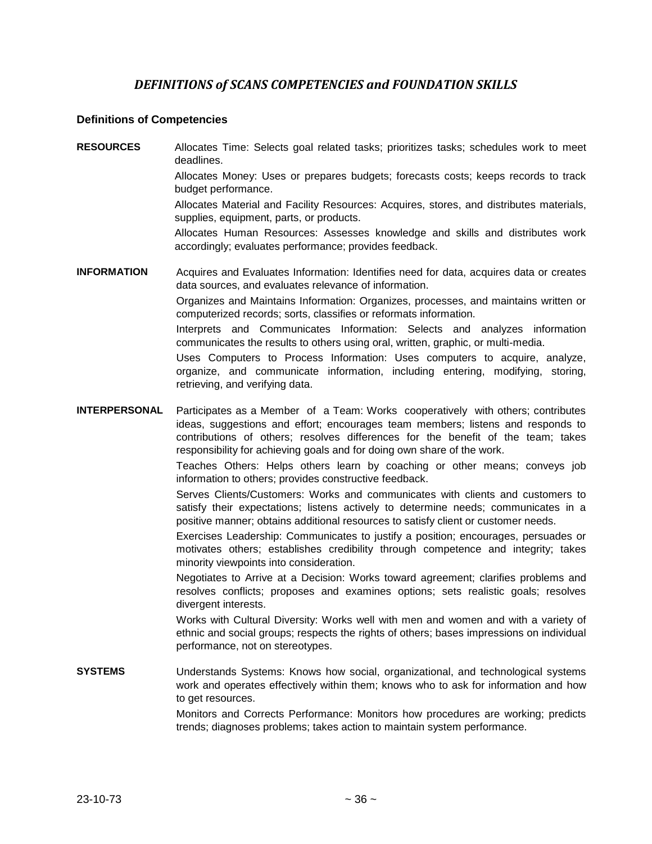### *DEFINITIONS of SCANS COMPETENCIES and FOUNDATION SKILLS*

#### **Definitions of Competencies**

**RESOURCES** Allocates Time: Selects goal related tasks; prioritizes tasks; schedules work to meet deadlines.

> Allocates Money: Uses or prepares budgets; forecasts costs; keeps records to track budget performance.

> Allocates Material and Facility Resources: Acquires, stores, and distributes materials, supplies, equipment, parts, or products.

> Allocates Human Resources: Assesses knowledge and skills and distributes work accordingly; evaluates performance; provides feedback.

**INFORMATION** Acquires and Evaluates Information: Identifies need for data, acquires data or creates data sources, and evaluates relevance of information.

> Organizes and Maintains Information: Organizes, processes, and maintains written or computerized records; sorts, classifies or reformats information.

> Interprets and Communicates Information: Selects and analyzes information communicates the results to others using oral, written, graphic, or multi-media.

> Uses Computers to Process Information: Uses computers to acquire, analyze, organize, and communicate information, including entering, modifying, storing, retrieving, and verifying data.

**INTERPERSONAL** Participates as a Member of a Team: Works cooperatively with others; contributes ideas, suggestions and effort; encourages team members; listens and responds to contributions of others; resolves differences for the benefit of the team; takes responsibility for achieving goals and for doing own share of the work.

> Teaches Others: Helps others learn by coaching or other means; conveys job information to others; provides constructive feedback.

> Serves Clients/Customers: Works and communicates with clients and customers to satisfy their expectations; listens actively to determine needs; communicates in a positive manner; obtains additional resources to satisfy client or customer needs.

> Exercises Leadership: Communicates to justify a position; encourages, persuades or motivates others; establishes credibility through competence and integrity; takes minority viewpoints into consideration.

> Negotiates to Arrive at a Decision: Works toward agreement; clarifies problems and resolves conflicts; proposes and examines options; sets realistic goals; resolves divergent interests.

> Works with Cultural Diversity: Works well with men and women and with a variety of ethnic and social groups; respects the rights of others; bases impressions on individual performance, not on stereotypes.

**SYSTEMS** Understands Systems: Knows how social, organizational, and technological systems work and operates effectively within them; knows who to ask for information and how to get resources.

Monitors and Corrects Performance: Monitors how procedures are working; predicts trends; diagnoses problems; takes action to maintain system performance.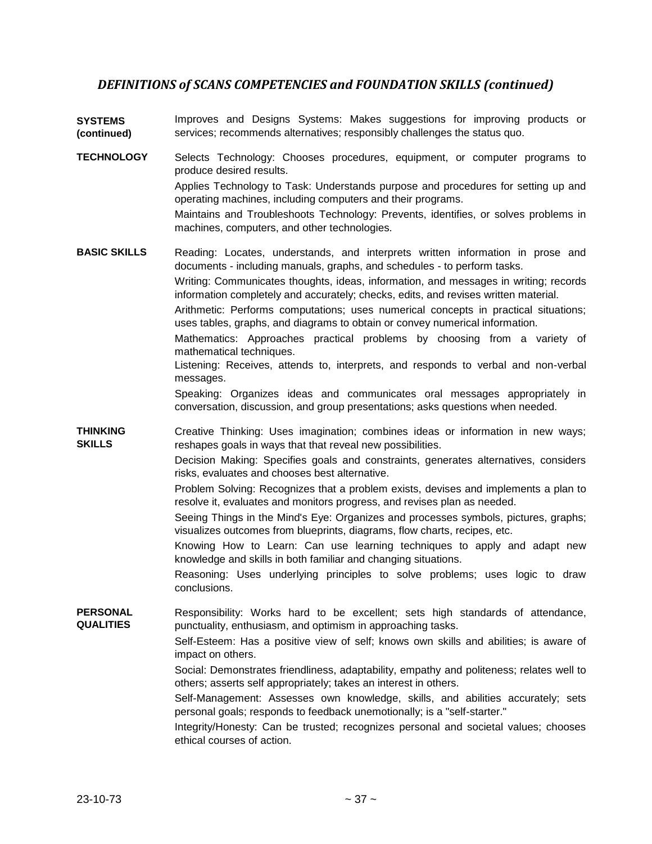### *DEFINITIONS of SCANS COMPETENCIES and FOUNDATION SKILLS (continued)*

**SYSTEMS (continued)** Improves and Designs Systems: Makes suggestions for improving products or services; recommends alternatives; responsibly challenges the status quo.

**TECHNOLOGY** Selects Technology: Chooses procedures, equipment, or computer programs to produce desired results. Applies Technology to Task: Understands purpose and procedures for setting up and operating machines, including computers and their programs. Maintains and Troubleshoots Technology: Prevents, identifies, or solves problems in machines, computers, and other technologies.

**BASIC SKILLS** Reading: Locates, understands, and interprets written information in prose and documents - including manuals, graphs, and schedules - to perform tasks. Writing: Communicates thoughts, ideas, information, and messages in writing; records information completely and accurately; checks, edits, and revises written material. Arithmetic: Performs computations; uses numerical concepts in practical situations; uses tables, graphs, and diagrams to obtain or convey numerical information. Mathematics: Approaches practical problems by choosing from a variety of mathematical techniques. Listening: Receives, attends to, interprets, and responds to verbal and non-verbal

messages.

Speaking: Organizes ideas and communicates oral messages appropriately in conversation, discussion, and group presentations; asks questions when needed.

**THINKING SKILLS** Creative Thinking: Uses imagination; combines ideas or information in new ways; reshapes goals in ways that that reveal new possibilities.

> Decision Making: Specifies goals and constraints, generates alternatives, considers risks, evaluates and chooses best alternative.

> Problem Solving: Recognizes that a problem exists, devises and implements a plan to resolve it, evaluates and monitors progress, and revises plan as needed.

> Seeing Things in the Mind's Eye: Organizes and processes symbols, pictures, graphs; visualizes outcomes from blueprints, diagrams, flow charts, recipes, etc.

> Knowing How to Learn: Can use learning techniques to apply and adapt new knowledge and skills in both familiar and changing situations.

> Reasoning: Uses underlying principles to solve problems; uses logic to draw conclusions.

**PERSONAL QUALITIES** Responsibility: Works hard to be excellent; sets high standards of attendance, punctuality, enthusiasm, and optimism in approaching tasks.

> Self-Esteem: Has a positive view of self; knows own skills and abilities; is aware of impact on others.

> Social: Demonstrates friendliness, adaptability, empathy and politeness; relates well to others; asserts self appropriately; takes an interest in others.

> Self-Management: Assesses own knowledge, skills, and abilities accurately; sets personal goals; responds to feedback unemotionally; is a "self-starter."

> Integrity/Honesty: Can be trusted; recognizes personal and societal values; chooses ethical courses of action.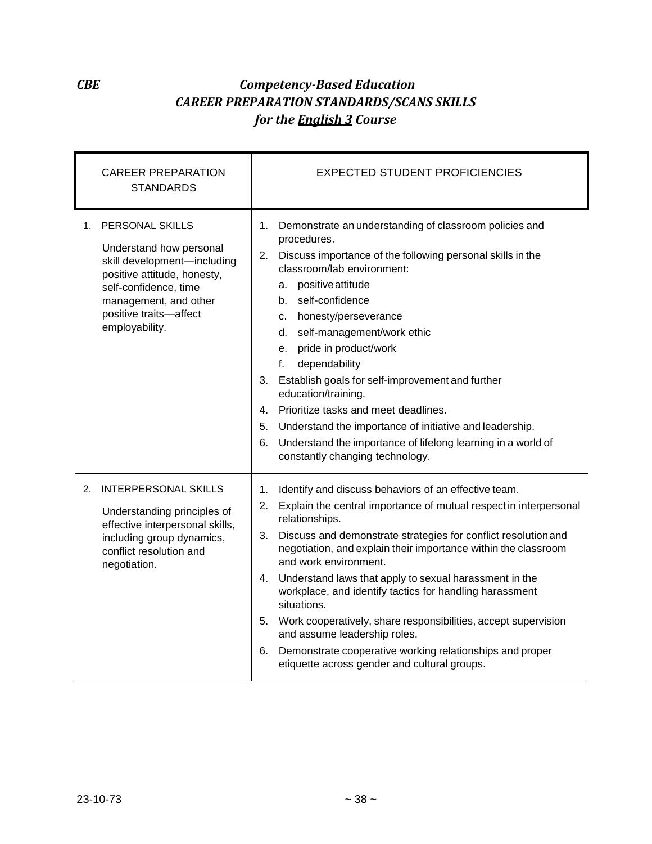# *CBE Competency-Based Education CAREER PREPARATION STANDARDS/SCANS SKILLS for the English 3 Course*

| <b>CAREER PREPARATION</b><br><b>STANDARDS</b>                                                                                                                                                                       | <b>EXPECTED STUDENT PROFICIENCIES</b>                                                                                                                                                                                                                                                                                                                                                                                                                                                                                                                                                                                                                                                      |
|---------------------------------------------------------------------------------------------------------------------------------------------------------------------------------------------------------------------|--------------------------------------------------------------------------------------------------------------------------------------------------------------------------------------------------------------------------------------------------------------------------------------------------------------------------------------------------------------------------------------------------------------------------------------------------------------------------------------------------------------------------------------------------------------------------------------------------------------------------------------------------------------------------------------------|
| <b>PERSONAL SKILLS</b><br>1.<br>Understand how personal<br>skill development-including<br>positive attitude, honesty,<br>self-confidence, time<br>management, and other<br>positive traits-affect<br>employability. | Demonstrate an understanding of classroom policies and<br>1.<br>procedures.<br>Discuss importance of the following personal skills in the<br>2.<br>classroom/lab environment:<br>positive attitude<br>а.<br>b. self-confidence<br>c. honesty/perseverance<br>d. self-management/work ethic<br>pride in product/work<br>$e_{-}$<br>f.<br>dependability<br>Establish goals for self-improvement and further<br>3.<br>education/training.<br>Prioritize tasks and meet deadlines.<br>4<br>5. Understand the importance of initiative and leadership.<br>Understand the importance of lifelong learning in a world of<br>6.<br>constantly changing technology.                                 |
| <b>INTERPERSONAL SKILLS</b><br>2.<br>Understanding principles of<br>effective interpersonal skills,<br>including group dynamics,<br>conflict resolution and<br>negotiation.                                         | Identify and discuss behaviors of an effective team.<br>1.<br>Explain the central importance of mutual respectin interpersonal<br>2.<br>relationships.<br>Discuss and demonstrate strategies for conflict resolution and<br>3.<br>negotiation, and explain their importance within the classroom<br>and work environment.<br>Understand laws that apply to sexual harassment in the<br>4.<br>workplace, and identify tactics for handling harassment<br>situations.<br>5. Work cooperatively, share responsibilities, accept supervision<br>and assume leadership roles.<br>Demonstrate cooperative working relationships and proper<br>6.<br>etiquette across gender and cultural groups. |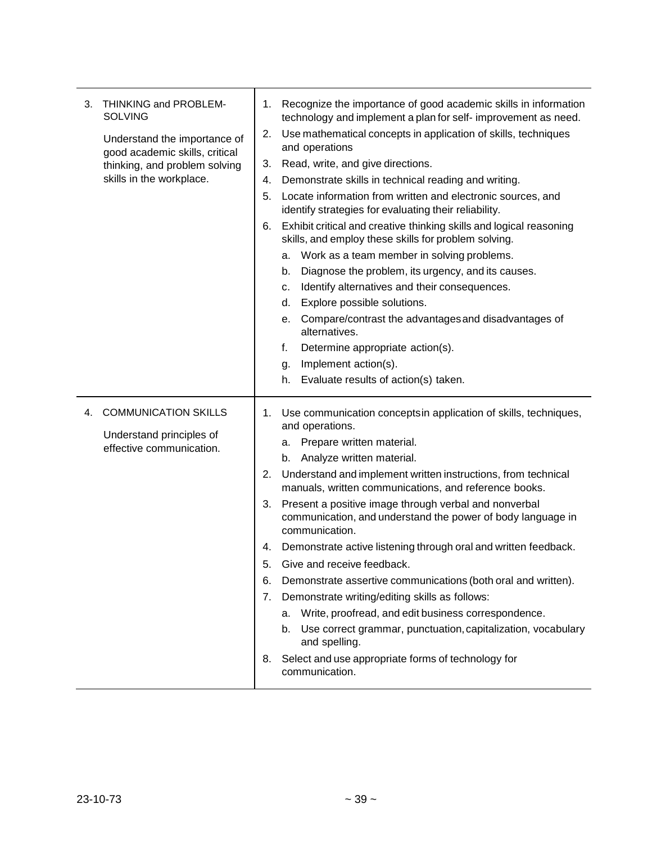| THINKING and PROBLEM-<br>3.<br><b>SOLVING</b><br>Understand the importance of<br>good academic skills, critical<br>thinking, and problem solving<br>skills in the workplace. | Recognize the importance of good academic skills in information<br>1.<br>technology and implement a plan for self- improvement as need.<br>2.<br>Use mathematical concepts in application of skills, techniques<br>and operations<br>Read, write, and give directions.<br>3.<br>Demonstrate skills in technical reading and writing.<br>4.<br>Locate information from written and electronic sources, and<br>5.<br>identify strategies for evaluating their reliability.<br>Exhibit critical and creative thinking skills and logical reasoning<br>6.<br>skills, and employ these skills for problem solving.<br>a. Work as a team member in solving problems.<br>Diagnose the problem, its urgency, and its causes.<br>b.<br>Identify alternatives and their consequences.<br>c.<br>Explore possible solutions.<br>d.<br>Compare/contrast the advantages and disadvantages of<br>е.<br>alternatives.<br>Determine appropriate action(s).<br>f.<br>Implement action(s).<br>g.<br>Evaluate results of action(s) taken.<br>h. |
|------------------------------------------------------------------------------------------------------------------------------------------------------------------------------|-----------------------------------------------------------------------------------------------------------------------------------------------------------------------------------------------------------------------------------------------------------------------------------------------------------------------------------------------------------------------------------------------------------------------------------------------------------------------------------------------------------------------------------------------------------------------------------------------------------------------------------------------------------------------------------------------------------------------------------------------------------------------------------------------------------------------------------------------------------------------------------------------------------------------------------------------------------------------------------------------------------------------------|
| <b>COMMUNICATION SKILLS</b><br>4.<br>Understand principles of<br>effective communication.                                                                                    | Use communication concepts in application of skills, techniques,<br>1.<br>and operations.<br>Prepare written material.<br>а.<br>Analyze written material.<br>b.<br>Understand and implement written instructions, from technical<br>2.<br>manuals, written communications, and reference books.<br>Present a positive image through verbal and nonverbal<br>3.<br>communication, and understand the power of body language in<br>communication.<br>Demonstrate active listening through oral and written feedback.<br>4.<br>5.<br>Give and receive feedback.<br>Demonstrate assertive communications (both oral and written).<br>6.<br>Demonstrate writing/editing skills as follows:<br>7.<br>Write, proofread, and edit business correspondence.<br>a.<br>Use correct grammar, punctuation, capitalization, vocabulary<br>b.<br>and spelling.<br>Select and use appropriate forms of technology for<br>8.<br>communication.                                                                                               |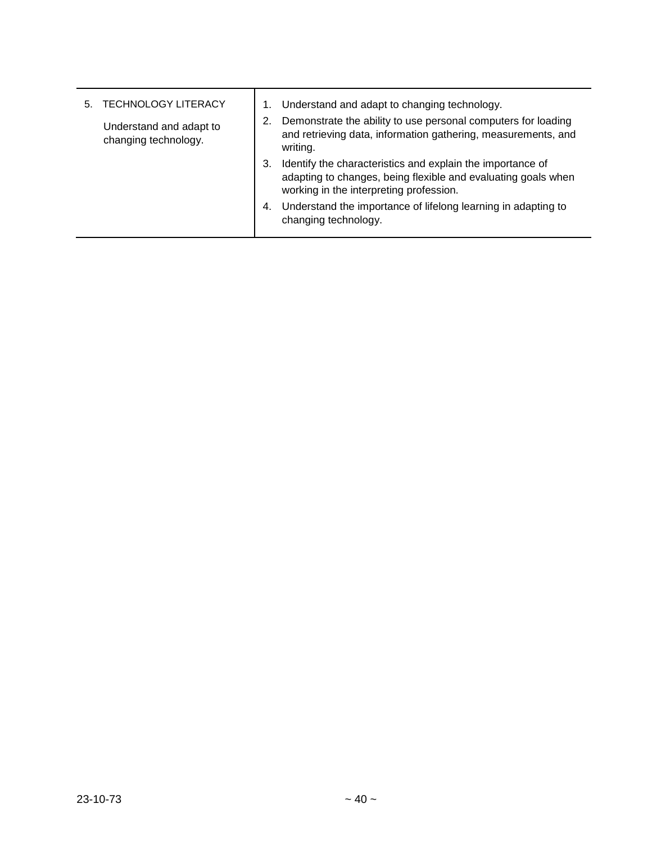| <b>TECHNOLOGY LITERACY</b><br>Understand and adapt to<br>changing technology. | Understand and adapt to changing technology.<br>Demonstrate the ability to use personal computers for loading<br>2.<br>and retrieving data, information gathering, measurements, and<br>writing. |
|-------------------------------------------------------------------------------|--------------------------------------------------------------------------------------------------------------------------------------------------------------------------------------------------|
|                                                                               | Identify the characteristics and explain the importance of<br>3.<br>adapting to changes, being flexible and evaluating goals when<br>working in the interpreting profession.                     |
|                                                                               | Understand the importance of lifelong learning in adapting to<br>-4.<br>changing technology.                                                                                                     |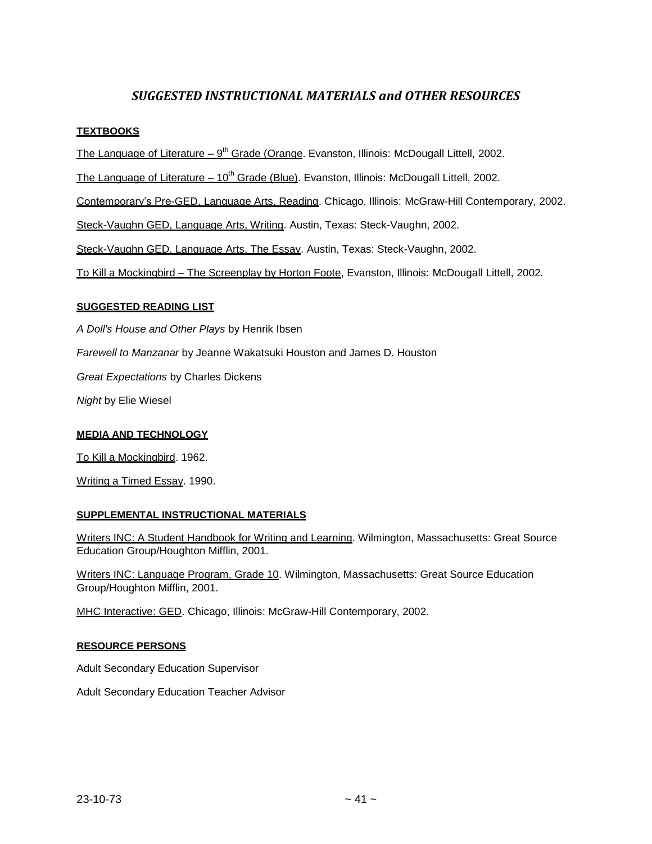## *SUGGESTED INSTRUCTIONAL MATERIALS and OTHER RESOURCES*

#### **TEXTBOOKS**

The Language of Literature – 9<sup>th</sup> Grade (Orange. Evanston, Illinois: McDougall Littell, 2002.

The Language of Literature  $-10^{th}$  Grade (Blue). Evanston, Illinois: McDougall Littell, 2002.

Contemporary's Pre-GED, Language Arts, Reading. Chicago, Illinois: McGraw-Hill Contemporary, 2002.

Steck-Vaughn GED, Language Arts, Writing. Austin, Texas: Steck-Vaughn, 2002.

Steck-Vaughn GED, Language Arts, The Essay. Austin, Texas: Steck-Vaughn, 2002.

To Kill a Mockingbird – The Screenplay by Horton Foote, Evanston, Illinois: McDougall Littell, 2002.

#### **SUGGESTED READING LIST**

*A Doll's House and Other Plays* by Henrik Ibsen *Farewell to Manzanar* by Jeanne Wakatsuki Houston and James D. Houston *Great Expectations* by Charles Dickens *Night* by Elie Wiesel

#### **MEDIA AND TECHNOLOGY**

To Kill a Mockingbird. 1962.

Writing a Timed Essay. 1990.

### **SUPPLEMENTAL INSTRUCTIONAL MATERIALS**

Writers INC: A Student Handbook for Writing and Learning. Wilmington, Massachusetts: Great Source Education Group/Houghton Mifflin, 2001.

Writers INC: Language Program, Grade 10. Wilmington, Massachusetts: Great Source Education Group/Houghton Mifflin, 2001.

MHC Interactive: GED. Chicago, Illinois: McGraw-Hill Contemporary, 2002.

#### **RESOURCE PERSONS**

Adult Secondary Education Supervisor

Adult Secondary Education Teacher Advisor